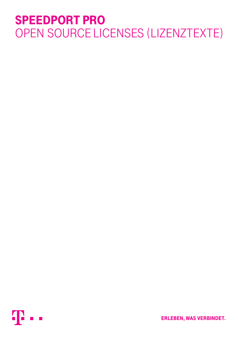# SPEEDPORT PRO OPEN SOURCE LICENSES (LIZENZTEXTE)



**ERLEBEN, WAS VERBINDET.**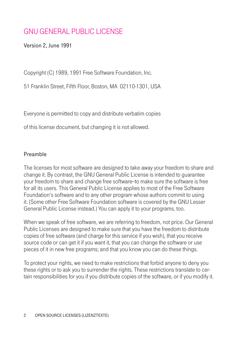# GNU GENERAL PUBLIC LICENSE

Version 2, June 1991

Copyright (C) 1989, 1991 Free Software Foundation, Inc.

51 Franklin Street, Fifth Floor, Boston, MA 02110-1301, USA

Everyone is permitted to copy and distribute verbatim copies

of this license document, but changing it is not allowed.

#### Preamble

The licenses for most software are designed to take away your freedom to share and change it. By contrast, the GNU General Public License is intended to guarantee your freedom to share and change free software--to make sure the software is free for all its users. This General Public License applies to most of the Free Software Foundation's software and to any other program whose authors commit to using it. (Some other Free Software Foundation software is covered by the GNU Lesser General Public License instead.) You can apply it to your programs, too.

When we speak of free software, we are referring to freedom, not price. Our General Public Licenses are designed to make sure that you have the freedom to distribute copies of free software (and charge for this service if you wish), that you receive source code or can get it if you want it, that you can change the software or use pieces of it in new free programs; and that you know you can do these things.

To protect your rights, we need to make restrictions that forbid anyone to deny you these rights or to ask you to surrender the rights. These restrictions translate to certain responsibilities for you if you distribute copies of the software, or if you modify it.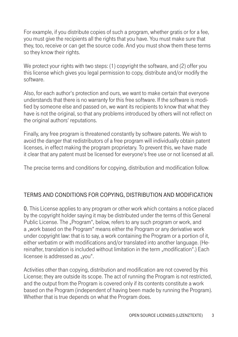For example, if you distribute copies of such a program, whether gratis or for a fee, you must give the recipients all the rights that you have. You must make sure that they, too, receive or can get the source code. And you must show them these terms so they know their rights.

We protect your rights with two steps: (1) copyright the software, and (2) offer you this license which gives you legal permission to copy, distribute and/or modify the software.

Also, for each author's protection and ours, we want to make certain that everyone understands that there is no warranty for this free software. If the software is modified by someone else and passed on, we want its recipients to know that what they have is not the original, so that any problems introduced by others will not reflect on the original authors' reputations.

Finally, any free program is threatened constantly by software patents. We wish to avoid the danger that redistributors of a free program will individually obtain patent licenses, in effect making the program proprietary. To prevent this, we have made it clear that any patent must be licensed for everyone's free use or not licensed at all.

The precise terms and conditions for copying, distribution and modification follow.

# TERMS AND CONDITIONS FOR COPYING, DISTRIBUTION AND MODIFICATION

0. This License applies to any program or other work which contains a notice placed by the copyright holder saying it may be distributed under the terms of this General Public License. The "Program", below, refers to any such program or work, and a "work based on the Program" means either the Program or any derivative work under copyright law: that is to say, a work containing the Program or a portion of it, either verbatim or with modifications and/or translated into another language. (Hereinafter, translation is included without limitation in the term "modification".) Each licensee is addressed as "you".

Activities other than copying, distribution and modification are not covered by this License; they are outside its scope. The act of running the Program is not restricted, and the output from the Program is covered only if its contents constitute a work based on the Program (independent of having been made by running the Program). Whether that is true depends on what the Program does.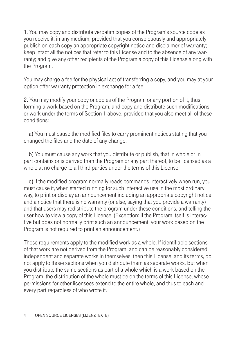1. You may copy and distribute verbatim copies of the Program's source code as you receive it, in any medium, provided that you conspicuously and appropriately publish on each copy an appropriate copyright notice and disclaimer of warranty; keep intact all the notices that refer to this License and to the absence of any warranty; and give any other recipients of the Program a copy of this License along with the Program.

You may charge a fee for the physical act of transferring a copy, and you may at your option offer warranty protection in exchange for a fee.

2. You may modify your copy or copies of the Program or any portion of it, thus forming a work based on the Program, and copy and distribute such modifications or work under the terms of Section 1 above, provided that you also meet all of these conditions:

 a) You must cause the modified files to carry prominent notices stating that you changed the files and the date of any change.

 b) You must cause any work that you distribute or publish, that in whole or in part contains or is derived from the Program or any part thereof, to be licensed as a whole at no charge to all third parties under the terms of this License.

 c) If the modified program normally reads commands interactively when run, you must cause it, when started running for such interactive use in the most ordinary way, to print or display an announcement including an appropriate copyright notice and a notice that there is no warranty (or else, saying that you provide a warranty) and that users may redistribute the program under these conditions, and telling the user how to view a copy of this License. (Exception: if the Program itself is interactive but does not normally print such an announcement, your work based on the Program is not required to print an announcement.)

These requirements apply to the modified work as a whole. If identifiable sections of that work are not derived from the Program, and can be reasonably considered independent and separate works in themselves, then this License, and its terms, do not apply to those sections when you distribute them as separate works. But when you distribute the same sections as part of a whole which is a work based on the Program, the distribution of the whole must be on the terms of this License, whose permissions for other licensees extend to the entire whole, and thus to each and every part regardless of who wrote it.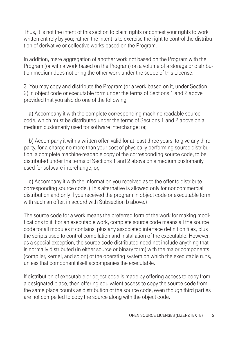Thus, it is not the intent of this section to claim rights or contest your rights to work written entirely by you; rather, the intent is to exercise the right to control the distribution of derivative or collective works based on the Program.

In addition, mere aggregation of another work not based on the Program with the Program (or with a work based on the Program) on a volume of a storage or distribution medium does not bring the other work under the scope of this License.

3. You may copy and distribute the Program (or a work based on it, under Section 2) in object code or executable form under the terms of Sections 1 and 2 above provided that you also do one of the following:

 a) Accompany it with the complete corresponding machine-readable source code, which must be distributed under the terms of Sections 1 and 2 above on a medium customarily used for software interchange; or,

 b) Accompany it with a written offer, valid for at least three years, to give any third party, for a charge no more than your cost of physically performing source distribution, a complete machine-readable copy of the corresponding source code, to be distributed under the terms of Sections 1 and 2 above on a medium customarily used for software interchange; or,

 c) Accompany it with the information you received as to the offer to distribute corresponding source code. (This alternative is allowed only for noncommercial distribution and only if you received the program in object code or executable form with such an offer, in accord with Subsection b above.)

The source code for a work means the preferred form of the work for making modifications to it. For an executable work, complete source code means all the source code for all modules it contains, plus any associated interface definition files, plus the scripts used to control compilation and installation of the executable. However, as a special exception, the source code distributed need not include anything that is normally distributed (in either source or binary form) with the major components (compiler, kernel, and so on) of the operating system on which the executable runs, unless that component itself accompanies the executable.

If distribution of executable or object code is made by offering access to copy from a designated place, then offering equivalent access to copy the source code from the same place counts as distribution of the source code, even though third parties are not compelled to copy the source along with the object code.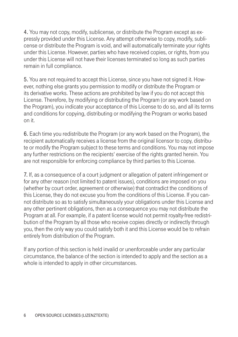4. You may not copy, modify, sublicense, or distribute the Program except as expressly provided under this License. Any attempt otherwise to copy, modify, sublicense or distribute the Program is void, and will automatically terminate your rights under this License. However, parties who have received copies, or rights, from you under this License will not have their licenses terminated so long as such parties remain in full compliance.

5. You are not required to accept this License, since you have not signed it. However, nothing else grants you permission to modify or distribute the Program or its derivative works. These actions are prohibited by law if you do not accept this License. Therefore, by modifying or distributing the Program (or any work based on the Program), you indicate your acceptance of this License to do so, and all its terms and conditions for copying, distributing or modifying the Program or works based on it.

6. Each time you redistribute the Program (or any work based on the Program), the recipient automatically receives a license from the original licensor to copy, distribute or modify the Program subject to these terms and conditions. You may not impose any further restrictions on the recipients' exercise of the rights granted herein. You are not responsible for enforcing compliance by third parties to this License.

7. If, as a consequence of a court judgment or allegation of patent infringement or for any other reason (not limited to patent issues), conditions are imposed on you (whether by court order, agreement or otherwise) that contradict the conditions of this License, they do not excuse you from the conditions of this License. If you cannot distribute so as to satisfy simultaneously your obligations under this License and any other pertinent obligations, then as a consequence you may not distribute the Program at all. For example, if a patent license would not permit royalty-free redistribution of the Program by all those who receive copies directly or indirectly through you, then the only way you could satisfy both it and this License would be to refrain entirely from distribution of the Program.

If any portion of this section is held invalid or unenforceable under any particular circumstance, the balance of the section is intended to apply and the section as a whole is intended to apply in other circumstances.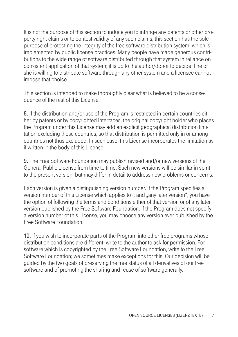It is not the purpose of this section to induce you to infringe any patents or other property right claims or to contest validity of any such claims; this section has the sole purpose of protecting the integrity of the free software distribution system, which is implemented by public license practices. Many people have made generous contributions to the wide range of software distributed through that system in reliance on consistent application of that system; it is up to the author/donor to decide if he or she is willing to distribute software through any other system and a licensee cannot impose that choice.

This section is intended to make thoroughly clear what is believed to be a consequence of the rest of this License.

8. If the distribution and/or use of the Program is restricted in certain countries either by patents or by copyrighted interfaces, the original copyright holder who places the Program under this License may add an explicit geographical distribution limitation excluding those countries, so that distribution is permitted only in or among countries not thus excluded. In such case, this License incorporates the limitation as if written in the body of this License.

9. The Free Software Foundation may publish revised and/or new versions of the General Public License from time to time. Such new versions will be similar in spirit to the present version, but may differ in detail to address new problems or concerns.

Each version is given a distinguishing version number. If the Program specifies a version number of this License which applies to it and "any later version", you have the option of following the terms and conditions either of that version or of any later version published by the Free Software Foundation. If the Program does not specify a version number of this License, you may choose any version ever published by the Free Software Foundation.

10. If you wish to incorporate parts of the Program into other free programs whose distribution conditions are different, write to the author to ask for permission. For software which is copyrighted by the Free Software Foundation, write to the Free Software Foundation; we sometimes make exceptions for this. Our decision will be guided by the two goals of preserving the free status of all derivatives of our free software and of promoting the sharing and reuse of software generally.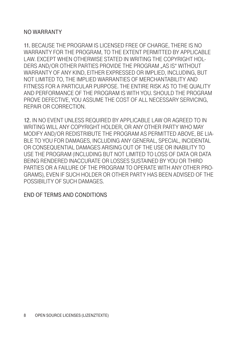#### NO WARRANTY

11. BECAUSE THE PROGRAM IS LICENSED FREE OF CHARGE, THERE IS NO WARRANTY FOR THE PROGRAM, TO THE EXTENT PERMITTED BY APPLICABLE LAW. EXCEPT WHEN OTHERWISE STATED IN WRITING THE COPYRIGHT HOL-DERS AND/OR OTHER PARTIES PROVIDE THE PROGRAM ... AS IS "WITHOUT WARRANTY OF ANY KIND, EITHER EXPRESSED OR IMPLIED, INCLUDING, BUT NOT LIMITED TO, THE IMPLIED WARRANTIES OF MERCHANTABILITY AND FITNESS FOR A PARTICULAR PURPOSE. THE ENTIRE RISK AS TO THE QUALITY. AND PERFORMANCE OF THE PROGRAM IS WITH YOU. SHOULD THE PROGRAM PROVE DEFECTIVE, YOU ASSUME THE COST OF ALL NECESSARY SERVICING, REPAIR OR CORRECTION.

12. IN NO EVENT UNLESS REQUIRED BY APPLICABLE LAW OR AGREED TO IN WRITING WILL ANY COPYRIGHT HOLDER, OR ANY OTHER PARTY WHO MAY MODIFY AND/OR REDISTRIBUTE THE PROGRAM AS PERMITTED ABOVE, BE LIA-BLE TO YOU FOR DAMAGES, INCLUDING ANY GENERAL, SPECIAL, INCIDENTAL OR CONSEQUENTIAL DAMAGES ARISING OUT OF THE USE OR INABILITY TO USE THE PROGRAM (INCLUDING BUT NOT LIMITED TO LOSS OF DATA OR DATA BEING RENDERED INACCURATE OR LOSSES SUSTAINED BY YOU OR THIRD PARTIES OR A FAILURE OF THE PROGRAM TO OPERATE WITH ANY OTHER PRO-GRAMS), EVEN IF SUCH HOLDER OR OTHER PARTY HAS BEEN ADVISED OF THE POSSIBILITY OF SUCH DAMAGES.

#### END OF TERMS AND CONDITIONS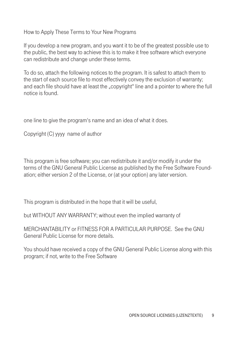How to Apply These Terms to Your New Programs

If you develop a new program, and you want it to be of the greatest possible use to the public, the best way to achieve this is to make it free software which everyone can redistribute and change under these terms.

To do so, attach the following notices to the program. It is safest to attach them to the start of each source file to most effectively convey the exclusion of warranty; and each file should have at least the "copyright" line and a pointer to where the full notice is found.

one line to give the program's name and an idea of what it does.

Copyright (C) yyyy name of author

This program is free software; you can redistribute it and/or modify it under the terms of the GNU General Public License as published by the Free Software Foundation; either version 2 of the License, or (at your option) any later version.

This program is distributed in the hope that it will be useful,

but WITHOUT ANY WARRANTY; without even the implied warranty of

MERCHANTABILITY or FITNESS FOR A PARTICULAR PURPOSE. See the GNU General Public License for more details.

You should have received a copy of the GNU General Public License along with this program; if not, write to the Free Software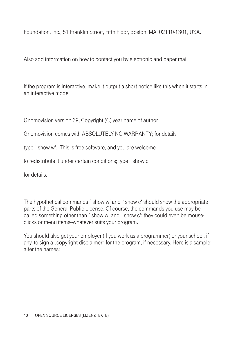Foundation, Inc., 51 Franklin Street, Fifth Floor, Boston, MA 02110-1301, USA.

Also add information on how to contact you by electronic and paper mail.

If the program is interactive, make it output a short notice like this when it starts in an interactive mode:

Gnomovision version 69, Copyright (C) year name of author

Gnomovision comes with ABSOLUTELY NO WARRANTY; for details

type `show w'. This is free software, and you are welcome

to redistribute it under certain conditions; type `show c'

for details.

The hypothetical commands `show w' and `show c' should show the appropriate parts of the General Public License. Of course, the commands you use may be called something other than `show w' and `show c'; they could even be mouseclicks or menu items--whatever suits your program.

You should also get your employer (if you work as a programmer) or your school, if any, to sign a "copyright disclaimer" for the program, if necessary. Here is a sample; alter the names: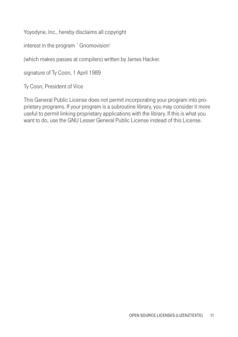Yoyodyne, Inc., hereby disclaims all copyright

interest in the program `Gnomovision'

(which makes passes at compilers) written by James Hacker.

signature of Ty Coon, 1 April 1989

Ty Coon, President of Vice

This General Public License does not permit incorporating your program into proprietary programs. If your program is a subroutine library, you may consider it more useful to permit linking proprietary applications with the library. If this is what you want to do, use the GNU Lesser General Public License instead of this License.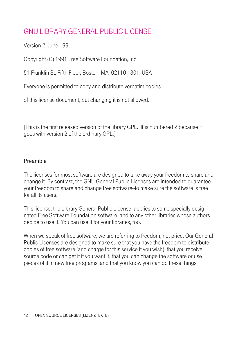# GNU LIBRARY GENERAL PUBLIC LICENSE

Version 2, June 1991

Copyright (C) 1991 Free Software Foundation, Inc.

51 Franklin St, Fifth Floor, Boston, MA 02110-1301, USA

Everyone is permitted to copy and distribute verbatim copies

of this license document, but changing it is not allowed.

[This is the first released version of the library GPL. It is numbered 2 because it goes with version 2 of the ordinary GPL.]

#### Preamble

The licenses for most software are designed to take away your freedom to share and change it. By contrast, the GNU General Public Licenses are intended to guarantee your freedom to share and change free software--to make sure the software is free for all its users.

This license, the Library General Public License, applies to some specially designated Free Software Foundation software, and to any other libraries whose authors decide to use it. You can use it for your libraries, too.

When we speak of free software, we are referring to freedom, not price. Our General Public Licenses are designed to make sure that you have the freedom to distribute copies of free software (and charge for this service if you wish), that you receive source code or can get it if you want it, that you can change the software or use pieces of it in new free programs; and that you know you can do these things.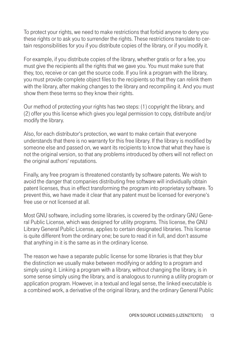To protect your rights, we need to make restrictions that forbid anyone to deny you these rights or to ask you to surrender the rights. These restrictions translate to certain responsibilities for you if you distribute copies of the library, or if you modify it.

For example, if you distribute copies of the library, whether gratis or for a fee, you must give the recipients all the rights that we gave you. You must make sure that they, too, receive or can get the source code. If you link a program with the library, you must provide complete object files to the recipients so that they can relink them with the library, after making changes to the library and recompiling it. And you must show them these terms so they know their rights.

Our method of protecting your rights has two steps: (1) copyright the library, and (2) offer you this license which gives you legal permission to copy, distribute and/or modify the library.

Also, for each distributor's protection, we want to make certain that everyone understands that there is no warranty for this free library. If the library is modified by someone else and passed on, we want its recipients to know that what they have is not the original version, so that any problems introduced by others will not reflect on the original authors' reputations.

Finally, any free program is threatened constantly by software patents. We wish to avoid the danger that companies distributing free software will individually obtain patent licenses, thus in effect transforming the program into proprietary software. To prevent this, we have made it clear that any patent must be licensed for everyone's free use or not licensed at all.

Most GNU software, including some libraries, is covered by the ordinary GNU General Public License, which was designed for utility programs. This license, the GNU Library General Public License, applies to certain designated libraries. This license is quite different from the ordinary one; be sure to read it in full, and don't assume that anything in it is the same as in the ordinary license.

The reason we have a separate public license for some libraries is that they blur the distinction we usually make between modifying or adding to a program and simply using it. Linking a program with a library, without changing the library, is in some sense simply using the library, and is analogous to running a utility program or application program. However, in a textual and legal sense, the linked executable is a combined work, a derivative of the original library, and the ordinary General Public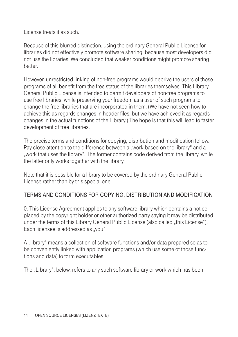License treats it as such.

Because of this blurred distinction, using the ordinary General Public License for libraries did not effectively promote software sharing, because most developers did not use the libraries. We concluded that weaker conditions might promote sharing better.

However, unrestricted linking of non-free programs would deprive the users of those programs of all benefit from the free status of the libraries themselves. This Library General Public License is intended to permit developers of non-free programs to use free libraries, while preserving your freedom as a user of such programs to change the free libraries that are incorporated in them. (We have not seen how to achieve this as regards changes in header files, but we have achieved it as regards changes in the actual functions of the Library.) The hope is that this will lead to faster development of free libraries.

The precise terms and conditions for copying, distribution and modification follow. Pay close attention to the difference between a "work based on the library" and a "work that uses the library". The former contains code derived from the library, while the latter only works together with the library.

Note that it is possible for a library to be covered by the ordinary General Public License rather than by this special one.

# TERMS AND CONDITIONS FOR COPYING, DISTRIBUTION AND MODIFICATION

0. This License Agreement applies to any software library which contains a notice placed by the copyright holder or other authorized party saying it may be distributed under the terms of this Library General Public License (also called "this License"). Each licensee is addressed as "you".

A "library" means a collection of software functions and/or data prepared so as to be conveniently linked with application programs (which use some of those functions and data) to form executables.

The "Library", below, refers to any such software library or work which has been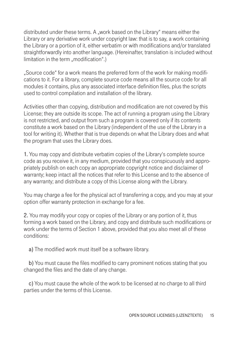distributed under these terms. A "work based on the Library" means either the Library or any derivative work under copyright law: that is to say, a work containing the Library or a portion of it, either verbatim or with modifications and/or translated straightforwardly into another language. (Hereinafter, translation is included without limitation in the term "modification".)

"Source code" for a work means the preferred form of the work for making modifications to it. For a library, complete source code means all the source code for all modules it contains, plus any associated interface definition files, plus the scripts used to control compilation and installation of the library.

Activities other than copying, distribution and modification are not covered by this License; they are outside its scope. The act of running a program using the Library is not restricted, and output from such a program is covered only if its contents constitute a work based on the Library (independent of the use of the Library in a tool for writing it). Whether that is true depends on what the Library does and what the program that uses the Library does.

1. You may copy and distribute verbatim copies of the Library's complete source code as you receive it, in any medium, provided that you conspicuously and appropriately publish on each copy an appropriate copyright notice and disclaimer of warranty; keep intact all the notices that refer to this License and to the absence of any warranty; and distribute a copy of this License along with the Library.

You may charge a fee for the physical act of transferring a copy, and you may at your option offer warranty protection in exchange for a fee.

2. You may modify your copy or copies of the Library or any portion of it, thus forming a work based on the Library, and copy and distribute such modifications or work under the terms of Section 1 above, provided that you also meet all of these conditions:

a) The modified work must itself be a software library.

 b) You must cause the files modified to carry prominent notices stating that you changed the files and the date of any change.

 c) You must cause the whole of the work to be licensed at no charge to all third parties under the terms of this License.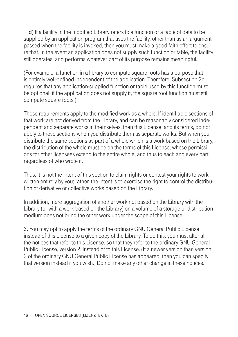d) If a facility in the modified Library refers to a function or a table of data to be supplied by an application program that uses the facility, other than as an argument passed when the facility is invoked, then you must make a good faith effort to ensure that, in the event an application does not supply such function or table, the facility still operates, and performs whatever part of its purpose remains meaningful.

(For example, a function in a library to compute square roots has a purpose that is entirely well-defined independent of the application. Therefore, Subsection 2d requires that any application-supplied function or table used by this function must be optional: if the application does not supply it, the square root function must still compute square roots.)

These requirements apply to the modified work as a whole. If identifiable sections of that work are not derived from the Library, and can be reasonably considered independent and separate works in themselves, then this License, and its terms, do not apply to those sections when you distribute them as separate works. But when you distribute the same sections as part of a whole which is a work based on the Library, the distribution of the whole must be on the terms of this License, whose permissions for other licensees extend to the entire whole, and thus to each and every part regardless of who wrote it.

Thus, it is not the intent of this section to claim rights or contest your rights to work written entirely by you; rather, the intent is to exercise the right to control the distribution of derivative or collective works based on the Library.

In addition, mere aggregation of another work not based on the Library with the Library (or with a work based on the Library) on a volume of a storage or distribution medium does not bring the other work under the scope of this License.

3. You may opt to apply the terms of the ordinary GNU General Public License instead of this License to a given copy of the Library. To do this, you must alter all the notices that refer to this License, so that they refer to the ordinary GNU General Public License, version 2, instead of to this License. (If a newer version than version 2 of the ordinary GNU General Public License has appeared, then you can specify that version instead if you wish.) Do not make any other change in these notices.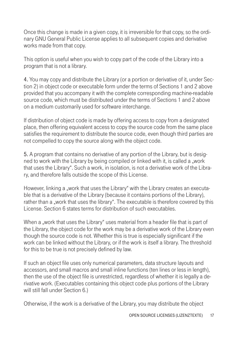Once this change is made in a given copy, it is irreversible for that copy, so the ordinary GNU General Public License applies to all subsequent copies and derivative works made from that copy.

This option is useful when you wish to copy part of the code of the Library into a program that is not a library.

4. You may copy and distribute the Library (or a portion or derivative of it, under Section 2) in object code or executable form under the terms of Sections 1 and 2 above provided that you accompany it with the complete corresponding machine-readable source code, which must be distributed under the terms of Sections 1 and 2 above on a medium customarily used for software interchange.

If distribution of object code is made by offering access to copy from a designated place, then offering equivalent access to copy the source code from the same place satisfies the requirement to distribute the source code, even though third parties are not compelled to copy the source along with the object code.

5. A program that contains no derivative of any portion of the Library, but is designed to work with the Library by being compiled or linked with it, is called a "work that uses the Library". Such a work, in isolation, is not a derivative work of the Library, and therefore falls outside the scope of this License.

However, linking a "work that uses the Library" with the Library creates an executable that is a derivative of the Library (because it contains portions of the Library), rather than a "work that uses the library". The executable is therefore covered by this License. Section 6 states terms for distribution of such executables.

When a "work that uses the Library" uses material from a header file that is part of the Library, the object code for the work may be a derivative work of the Library even though the source code is not. Whether this is true is especially significant if the work can be linked without the Library, or if the work is itself a library. The threshold for this to be true is not precisely defined by law.

If such an object file uses only numerical parameters, data structure layouts and accessors, and small macros and small inline functions (ten lines or less in length), then the use of the object file is unrestricted, regardless of whether it is legally a derivative work. (Executables containing this object code plus portions of the Library will still fall under Section 6.)

Otherwise, if the work is a derivative of the Library, you may distribute the object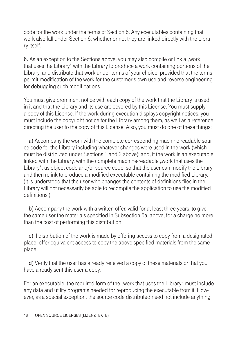code for the work under the terms of Section 6. Any executables containing that work also fall under Section 6, whether or not they are linked directly with the Library itself.

6. As an exception to the Sections above, you may also compile or link a "work that uses the Library" with the Library to produce a work containing portions of the Library, and distribute that work under terms of your choice, provided that the terms permit modification of the work for the customer's own use and reverse engineering for debugging such modifications.

You must give prominent notice with each copy of the work that the Library is used in it and that the Library and its use are covered by this License. You must supply a copy of this License. If the work during execution displays copyright notices, you must include the copyright notice for the Library among them, as well as a reference directing the user to the copy of this License. Also, you must do one of these things:

 a) Accompany the work with the complete corresponding machine-readable source code for the Library including whatever changes were used in the work (which must be distributed under Sections 1 and 2 above); and, if the work is an executable linked with the Library, with the complete machine-readable "work that uses the Library", as object code and/or source code, so that the user can modify the Library and then relink to produce a modified executable containing the modified Library. (It is understood that the user who changes the contents of definitions files in the Library will not necessarily be able to recompile the application to use the modified definitions.)

 b) Accompany the work with a written offer, valid for at least three years, to give the same user the materials specified in Subsection 6a, above, for a charge no more than the cost of performing this distribution.

 c) If distribution of the work is made by offering access to copy from a designated place, offer equivalent access to copy the above specified materials from the same place.

 d) Verify that the user has already received a copy of these materials or that you have already sent this user a copy.

For an executable, the required form of the "work that uses the Library" must include any data and utility programs needed for reproducing the executable from it. However, as a special exception, the source code distributed need not include anything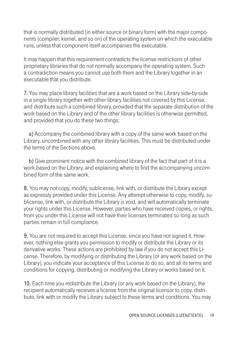that is normally distributed (in either source or binary form) with the major components (compiler, kernel, and so on) of the operating system on which the executable runs, unless that component itself accompanies the executable.

It may happen that this requirement contradicts the license restrictions of other proprietary libraries that do not normally accompany the operating system. Such a contradiction means you cannot use both them and the Library together in an executable that you distribute.

7. You may place library facilities that are a work based on the Library side-by-side in a single library together with other library facilities not covered by this License, and distribute such a combined library, provided that the separate distribution of the work based on the Library and of the other library facilities is otherwise permitted, and provided that you do these two things:

 a) Accompany the combined library with a copy of the same work based on the Library, uncombined with any other library facilities. This must be distributed under the terms of the Sections above.

 b) Give prominent notice with the combined library of the fact that part of it is a work based on the Library, and explaining where to find the accompanying uncombined form of the same work.

8. You may not copy, modify, sublicense, link with, or distribute the Library except as expressly provided under this License. Any attempt otherwise to copy, modify, sublicense, link with, or distribute the Library is void, and will automatically terminate your rights under this License. However, parties who have received copies, or rights, from you under this License will not have their licenses terminated so long as such parties remain in full compliance.

9. You are not required to accept this License, since you have not signed it. However, nothing else grants you permission to modify or distribute the Library or its derivative works. These actions are prohibited by law if you do not accept this License. Therefore, by modifying or distributing the Library (or any work based on the Library), you indicate your acceptance of this License to do so, and all its terms and conditions for copying, distributing or modifying the Library or works based on it.

10. Each time you redistribute the Library (or any work based on the Library), the recipient automatically receives a license from the original licensor to copy, distribute, link with or modify the Library subject to these terms and conditions. You may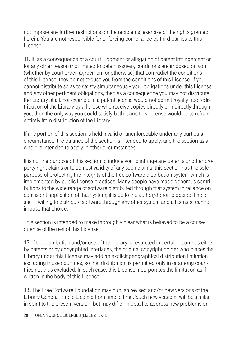not impose any further restrictions on the recipients' exercise of the rights granted herein. You are not responsible for enforcing compliance by third parties to this License.

11. If, as a consequence of a court judgment or allegation of patent infringement or for any other reason (not limited to patent issues), conditions are imposed on you (whether by court order, agreement or otherwise) that contradict the conditions of this License, they do not excuse you from the conditions of this License. If you cannot distribute so as to satisfy simultaneously your obligations under this License and any other pertinent obligations, then as a consequence you may not distribute the Library at all. For example, if a patent license would not permit royalty-free redistribution of the Library by all those who receive copies directly or indirectly through you, then the only way you could satisfy both it and this License would be to refrain entirely from distribution of the Library.

If any portion of this section is held invalid or unenforceable under any particular circumstance, the balance of the section is intended to apply, and the section as a whole is intended to apply in other circumstances.

It is not the purpose of this section to induce you to infringe any patents or other property right claims or to contest validity of any such claims; this section has the sole purpose of protecting the integrity of the free software distribution system which is implemented by public license practices. Many people have made generous contributions to the wide range of software distributed through that system in reliance on consistent application of that system; it is up to the author/donor to decide if he or she is willing to distribute software through any other system and a licensee cannot impose that choice.

This section is intended to make thoroughly clear what is believed to be a consequence of the rest of this License.

12. If the distribution and/or use of the Library is restricted in certain countries either by patents or by copyrighted interfaces, the original copyright holder who places the Library under this License may add an explicit geographical distribution limitation excluding those countries, so that distribution is permitted only in or among countries not thus excluded. In such case, this License incorporates the limitation as if written in the body of this License.

13. The Free Software Foundation may publish revised and/or new versions of the Library General Public License from time to time. Such new versions will be similar in spirit to the present version, but may differ in detail to address new problems or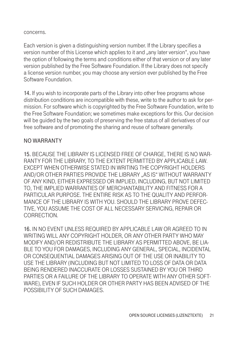concerns.

Each version is given a distinguishing version number. If the Library specifies a version number of this License which applies to it and "any later version", you have the option of following the terms and conditions either of that version or of any later version published by the Free Software Foundation. If the Library does not specify a license version number, you may choose any version ever published by the Free Software Foundation.

14. If you wish to incorporate parts of the Library into other free programs whose distribution conditions are incompatible with these, write to the author to ask for permission. For software which is copyrighted by the Free Software Foundation, write to the Free Software Foundation; we sometimes make exceptions for this. Our decision will be guided by the two goals of preserving the free status of all derivatives of our free software and of promoting the sharing and reuse of software generally.

#### NO WARRANTY

15. BECAUSE THE LIBRARY IS LICENSED FREE OF CHARGE, THERE IS NO WAR-RANTY FOR THE LIBRARY, TO THE EXTENT PERMITTED BY APPLICABLE LAW. EXCEPT WHEN OTHERWISE STATED IN WRITING THE COPYRIGHT HOLDERS AND/OR OTHER PARTIES PROVIDE THE LIBRARY "AS IS" WITHOUT WARRANTY OF ANY KIND, EITHER EXPRESSED OR IMPLIED, INCLUDING, BUT NOT LIMITED TO, THE IMPLIED WARRANTIES OF MERCHANTABILITY AND FITNESS FOR A PARTICULAR PURPOSE. THE ENTIRE RISK AS TO THE QUALITY AND PERFOR-MANCE OF THE LIBRARY IS WITH YOU. SHOULD THE LIBRARY PROVE DEFEC-TIVE, YOU ASSUME THE COST OF ALL NECESSARY SERVICING, REPAIR OR CORRECTION.

16. IN NO EVENT UNLESS REQUIRED BY APPLICABLE LAW OR AGREED TO IN WRITING WILL ANY COPYRIGHT HOLDER, OR ANY OTHER PARTY WHO MAY MODIFY AND/OR REDISTRIBUTE THE LIBRARY AS PERMITTED ABOVE, BE LIA-BLE TO YOU FOR DAMAGES, INCLUDING ANY GENERAL, SPECIAL, INCIDENTAL OR CONSEQUENTIAL DAMAGES ARISING OUT OF THE USE OR INABILITY TO USE THE LIBRARY (INCLUDING BUT NOT LIMITED TO LOSS OF DATA OR DATA BEING RENDERED INACCURATE OR LOSSES SUSTAINED BY YOU OR THIRD PARTIES OR A FAILURE OF THE LIBRARY TO OPERATE WITH ANY OTHER SOFT-WARE), EVEN IF SUCH HOLDER OR OTHER PARTY HAS BEEN ADVISED OF THE POSSIBILITY OF SUCH DAMAGES.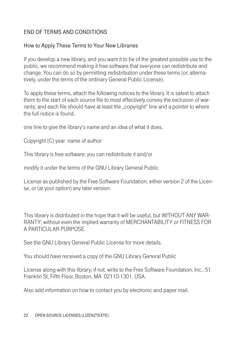# END OF TERMS AND CONDITIONS

#### How to Apply These Terms to Your New Libraries

If you develop a new library, and you want it to be of the greatest possible use to the public, we recommend making it free software that everyone can redistribute and change. You can do so by permitting redistribution under these terms (or, alternatively, under the terms of the ordinary General Public License).

To apply these terms, attach the following notices to the library. It is safest to attach them to the start of each source file to most effectively convey the exclusion of warranty; and each file should have at least the "copyright" line and a pointer to where the full notice is found.

one line to give the library's name and an idea of what it does.

Copyright (C) year name of author

This library is free software; you can redistribute it and/or

modify it under the terms of the GNU Library General Public

License as published by the Free Software Foundation; either version 2 of the License, or (at your option) any later version.

This library is distributed in the hope that it will be useful, but WITHOUT ANY WAR-RANTY; without even the implied warranty of MERCHANTABILITY or FITNESS FOR A PARTICULAR PURPOSE.

See the GNU Library General Public License for more details.

You should have received a copy of the GNU Library General Public

License along with this library; if not, write to the Free Software Foundation, Inc., 51 Franklin St, Fifth Floor, Boston, MA 02110-1301, USA.

Also add information on how to contact you by electronic and paper mail.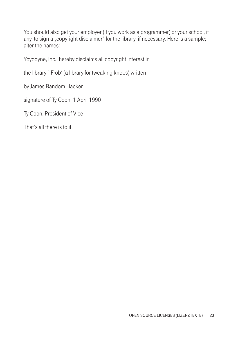You should also get your employer (if you work as a programmer) or your school, if any, to sign a "copyright disclaimer" for the library, if necessary. Here is a sample; alter the names:

Yoyodyne, Inc., hereby disclaims all copyright interest in

the library `Frob' (a library for tweaking knobs) written

by James Random Hacker.

signature of Ty Coon, 1 April 1990

Ty Coon, President of Vice

That's all there is to it!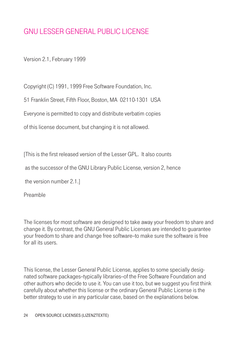# GNU LESSER GENERAL PUBLIC LICENSE

Version 2.1, February 1999

Copyright (C) 1991, 1999 Free Software Foundation, Inc.

51 Franklin Street, Fifth Floor, Boston, MA 02110-1301 USA

Everyone is permitted to copy and distribute verbatim copies

of this license document, but changing it is not allowed.

[This is the first released version of the Lesser GPL. It also counts

as the successor of the GNU Library Public License, version 2, hence

the version number 2.1.]

Preamble

The licenses for most software are designed to take away your freedom to share and change it. By contrast, the GNU General Public Licenses are intended to guarantee your freedom to share and change free software--to make sure the software is free for all its users.

This license, the Lesser General Public License, applies to some specially designated software packages-typically libraries-of the Free Software Foundation and other authors who decide to use it. You can use it too, but we suggest you first think carefully about whether this license or the ordinary General Public License is the better strategy to use in any particular case, based on the explanations below.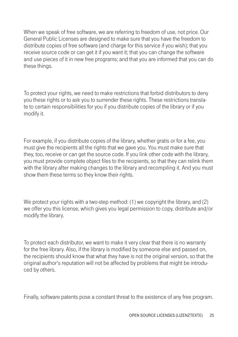When we speak of free software, we are referring to freedom of use, not price. Our General Public Licenses are designed to make sure that you have the freedom to distribute copies of free software (and charge for this service if you wish); that you receive source code or can get it if you want it; that you can change the software and use pieces of it in new free programs; and that you are informed that you can do these things.

To protect your rights, we need to make restrictions that forbid distributors to deny you these rights or to ask you to surrender these rights. These restrictions translate to certain responsibilities for you if you distribute copies of the library or if you modify it.

For example, if you distribute copies of the library, whether gratis or for a fee, you must give the recipients all the rights that we gave you. You must make sure that they, too, receive or can get the source code. If you link other code with the library, you must provide complete object files to the recipients, so that they can relink them with the library after making changes to the library and recompiling it. And you must show them these terms so they know their rights.

We protect your rights with a two-step method: (1) we copyright the library, and (2) we offer you this license, which gives you legal permission to copy, distribute and/or modify the library.

To protect each distributor, we want to make it very clear that there is no warranty for the free library. Also, if the library is modified by someone else and passed on, the recipients should know that what they have is not the original version, so that the original author's reputation will not be affected by problems that might be introduced by others.

Finally, software patents pose a constant threat to the existence of any free program.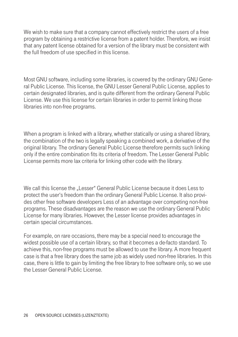We wish to make sure that a company cannot effectively restrict the users of a free program by obtaining a restrictive license from a patent holder. Therefore, we insist that any patent license obtained for a version of the library must be consistent with the full freedom of use specified in this license.

Most GNU software, including some libraries, is covered by the ordinary GNU General Public License. This license, the GNU Lesser General Public License, applies to certain designated libraries, and is quite different from the ordinary General Public License. We use this license for certain libraries in order to permit linking those libraries into non-free programs.

When a program is linked with a library, whether statically or using a shared library, the combination of the two is legally speaking a combined work, a derivative of the original library. The ordinary General Public License therefore permits such linking only if the entire combination fits its criteria of freedom. The Lesser General Public License permits more lax criteria for linking other code with the library.

We call this license the "Lesser" General Public License because it does Less to protect the user's freedom than the ordinary General Public License. It also provides other free software developers Less of an advantage over competing non-free programs. These disadvantages are the reason we use the ordinary General Public License for many libraries. However, the Lesser license provides advantages in certain special circumstances.

For example, on rare occasions, there may be a special need to encourage the widest possible use of a certain library, so that it becomes a de-facto standard. To achieve this, non-free programs must be allowed to use the library. A more frequent case is that a free library does the same job as widely used non-free libraries. In this case, there is little to gain by limiting the free library to free software only, so we use the Lesser General Public License.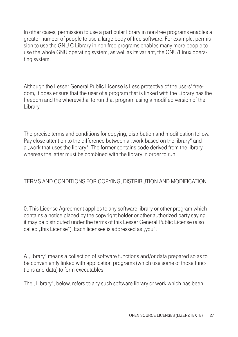In other cases, permission to use a particular library in non-free programs enables a greater number of people to use a large body of free software. For example, permission to use the GNU C Library in non-free programs enables many more people to use the whole GNU operating system, as well as its variant, the GNU/Linux operating system.

Although the Lesser General Public License is Less protective of the users' freedom, it does ensure that the user of a program that is linked with the Library has the freedom and the wherewithal to run that program using a modified version of the Library.

The precise terms and conditions for copying, distribution and modification follow. Pay close attention to the difference between a "work based on the library" and a "work that uses the library". The former contains code derived from the library, whereas the latter must be combined with the library in order to run.

# TERMS AND CONDITIONS FOR COPYING, DISTRIBUTION AND MODIFICATION

0. This License Agreement applies to any software library or other program which contains a notice placed by the copyright holder or other authorized party saying it may be distributed under the terms of this Lesser General Public License (also called "this License"). Each licensee is addressed as "you".

A "library" means a collection of software functions and/or data prepared so as to be conveniently linked with application programs (which use some of those functions and data) to form executables.

The "Library", below, refers to any such software library or work which has been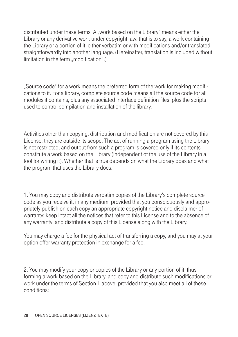distributed under these terms. A "work based on the Library" means either the Library or any derivative work under copyright law: that is to say, a work containing the Library or a portion of it, either verbatim or with modifications and/or translated straightforwardly into another language. (Hereinafter, translation is included without limitation in the term "modification".)

"Source code" for a work means the preferred form of the work for making modifications to it. For a library, complete source code means all the source code for all modules it contains, plus any associated interface definition files, plus the scripts used to control compilation and installation of the library.

Activities other than copying, distribution and modification are not covered by this License; they are outside its scope. The act of running a program using the Library is not restricted, and output from such a program is covered only if its contents constitute a work based on the Library (independent of the use of the Library in a tool for writing it). Whether that is true depends on what the Library does and what the program that uses the Library does.

1. You may copy and distribute verbatim copies of the Library's complete source code as you receive it, in any medium, provided that you conspicuously and appropriately publish on each copy an appropriate copyright notice and disclaimer of warranty; keep intact all the notices that refer to this License and to the absence of any warranty; and distribute a copy of this License along with the Library.

You may charge a fee for the physical act of transferring a copy, and you may at your option offer warranty protection in exchange for a fee.

2. You may modify your copy or copies of the Library or any portion of it, thus forming a work based on the Library, and copy and distribute such modifications or work under the terms of Section 1 above, provided that you also meet all of these conditions: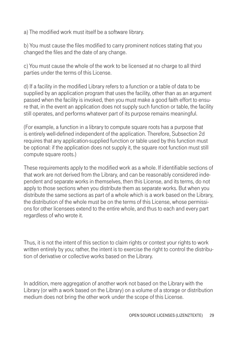a) The modified work must itself be a software library.

b) You must cause the files modified to carry prominent notices stating that you changed the files and the date of any change.

c) You must cause the whole of the work to be licensed at no charge to all third parties under the terms of this License.

d) If a facility in the modified Library refers to a function or a table of data to be supplied by an application program that uses the facility, other than as an argument passed when the facility is invoked, then you must make a good faith effort to ensure that, in the event an application does not supply such function or table, the facility still operates, and performs whatever part of its purpose remains meaningful.

(For example, a function in a library to compute square roots has a purpose that is entirely well-defined independent of the application. Therefore, Subsection 2d requires that any application-supplied function or table used by this function must be optional: if the application does not supply it, the square root function must still compute square roots.)

These requirements apply to the modified work as a whole. If identifiable sections of that work are not derived from the Library, and can be reasonably considered independent and separate works in themselves, then this License, and its terms, do not apply to those sections when you distribute them as separate works. But when you distribute the same sections as part of a whole which is a work based on the Library, the distribution of the whole must be on the terms of this License, whose permissions for other licensees extend to the entire whole, and thus to each and every part regardless of who wrote it.

Thus, it is not the intent of this section to claim rights or contest your rights to work written entirely by you; rather, the intent is to exercise the right to control the distribution of derivative or collective works based on the Library.

In addition, mere aggregation of another work not based on the Library with the Library (or with a work based on the Library) on a volume of a storage or distribution medium does not bring the other work under the scope of this License.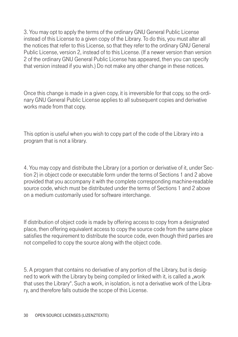3. You may opt to apply the terms of the ordinary GNU General Public License instead of this License to a given copy of the Library. To do this, you must alter all the notices that refer to this License, so that they refer to the ordinary GNU General Public License, version 2, instead of to this License. (If a newer version than version 2 of the ordinary GNU General Public License has appeared, then you can specify that version instead if you wish.) Do not make any other change in these notices.

Once this change is made in a given copy, it is irreversible for that copy, so the ordinary GNU General Public License applies to all subsequent copies and derivative works made from that copy.

This option is useful when you wish to copy part of the code of the Library into a program that is not a library.

4. You may copy and distribute the Library (or a portion or derivative of it, under Section 2) in object code or executable form under the terms of Sections 1 and 2 above provided that you accompany it with the complete corresponding machine-readable source code, which must be distributed under the terms of Sections 1 and 2 above on a medium customarily used for software interchange.

If distribution of object code is made by offering access to copy from a designated place, then offering equivalent access to copy the source code from the same place satisfies the requirement to distribute the source code, even though third parties are not compelled to copy the source along with the object code.

5. A program that contains no derivative of any portion of the Library, but is designed to work with the Library by being compiled or linked with it, is called a "work that uses the Library". Such a work, in isolation, is not a derivative work of the Library, and therefore falls outside the scope of this License.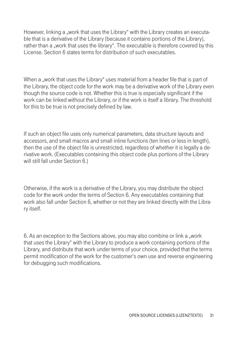However, linking a "work that uses the Library" with the Library creates an executable that is a derivative of the Library (because it contains portions of the Library), rather than a "work that uses the library". The executable is therefore covered by this License. Section 6 states terms for distribution of such executables.

When a "work that uses the Library" uses material from a header file that is part of the Library, the object code for the work may be a derivative work of the Library even though the source code is not. Whether this is true is especially significant if the work can be linked without the Library, or if the work is itself a library. The threshold for this to be true is not precisely defined by law.

If such an object file uses only numerical parameters, data structure layouts and accessors, and small macros and small inline functions (ten lines or less in length), then the use of the object file is unrestricted, regardless of whether it is legally a derivative work. (Executables containing this object code plus portions of the Library will still fall under Section 6.)

Otherwise, if the work is a derivative of the Library, you may distribute the object code for the work under the terms of Section 6. Any executables containing that work also fall under Section 6, whether or not they are linked directly with the Library itself.

6. As an exception to the Sections above, you may also combine or link a "work that uses the Library" with the Library to produce a work containing portions of the Library, and distribute that work under terms of your choice, provided that the terms permit modification of the work for the customer's own use and reverse engineering for debugging such modifications.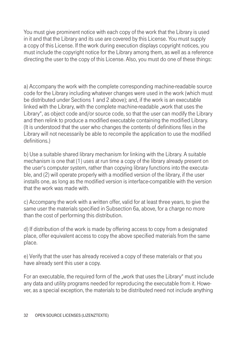You must give prominent notice with each copy of the work that the Library is used in it and that the Library and its use are covered by this License. You must supply a copy of this License. If the work during execution displays copyright notices, you must include the copyright notice for the Library among them, as well as a reference directing the user to the copy of this License. Also, you must do one of these things:

a) Accompany the work with the complete corresponding machine-readable source code for the Library including whatever changes were used in the work (which must be distributed under Sections 1 and 2 above); and, if the work is an executable linked with the Library, with the complete machine-readable "work that uses the Library", as object code and/or source code, so that the user can modify the Library and then relink to produce a modified executable containing the modified Library. (It is understood that the user who changes the contents of definitions files in the Library will not necessarily be able to recompile the application to use the modified definitions.)

b) Use a suitable shared library mechanism for linking with the Library. A suitable mechanism is one that (1) uses at run time a copy of the library already present on the user's computer system, rather than copying library functions into the executable, and (2) will operate properly with a modified version of the library, if the user installs one, as long as the modified version is interface-compatible with the version that the work was made with.

c) Accompany the work with a written offer, valid for at least three vears, to give the same user the materials specified in Subsection 6a, above, for a charge no more than the cost of performing this distribution.

d) If distribution of the work is made by offering access to copy from a designated place, offer equivalent access to copy the above specified materials from the same place.

e) Verify that the user has already received a copy of these materials or that you have already sent this user a copy.

For an executable, the required form of the "work that uses the Library" must include any data and utility programs needed for reproducing the executable from it. However, as a special exception, the materials to be distributed need not include anything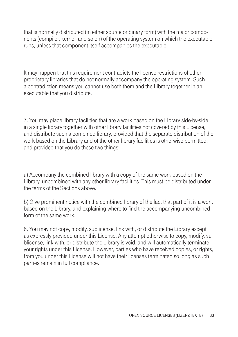that is normally distributed (in either source or binary form) with the major components (compiler, kernel, and so on) of the operating system on which the executable runs, unless that component itself accompanies the executable.

It may happen that this requirement contradicts the license restrictions of other proprietary libraries that do not normally accompany the operating system. Such a contradiction means you cannot use both them and the Library together in an executable that you distribute.

7. You may place library facilities that are a work based on the Library side-by-side in a single library together with other library facilities not covered by this License, and distribute such a combined library, provided that the separate distribution of the work based on the Library and of the other library facilities is otherwise permitted, and provided that you do these two things:

a) Accompany the combined library with a copy of the same work based on the Library, uncombined with any other library facilities. This must be distributed under the terms of the Sections above.

b) Give prominent notice with the combined library of the fact that part of it is a work based on the Library, and explaining where to find the accompanying uncombined form of the same work.

8. You may not copy, modify, sublicense, link with, or distribute the Library except as expressly provided under this License. Any attempt otherwise to copy, modify, sublicense, link with, or distribute the Library is void, and will automatically terminate your rights under this License. However, parties who have received copies, or rights, from you under this License will not have their licenses terminated so long as such parties remain in full compliance.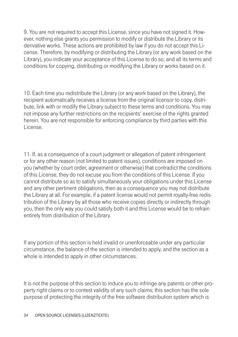9. You are not required to accept this License, since you have not signed it. However, nothing else grants you permission to modify or distribute the Library or its derivative works. These actions are prohibited by law if you do not accept this License. Therefore, by modifying or distributing the Library (or any work based on the Library), you indicate your acceptance of this License to do so, and all its terms and conditions for copying, distributing or modifying the Library or works based on it.

10. Each time you redistribute the Library (or any work based on the Library), the recipient automatically receives a license from the original licensor to copy, distribute, link with or modify the Library subject to these terms and conditions. You may not impose any further restrictions on the recipients' exercise of the rights granted herein. You are not responsible for enforcing compliance by third parties with this License.

11. If, as a consequence of a court judgment or allegation of patent infringement or for any other reason (not limited to patent issues), conditions are imposed on you (whether by court order, agreement or otherwise) that contradict the conditions of this License, they do not excuse you from the conditions of this License. If you cannot distribute so as to satisfy simultaneously your obligations under this License and any other pertinent obligations, then as a consequence you may not distribute the Library at all. For example, if a patent license would not permit royalty-free redistribution of the Library by all those who receive copies directly or indirectly through you, then the only way you could satisfy both it and this License would be to refrain entirely from distribution of the Library.

If any portion of this section is held invalid or unenforceable under any particular circumstance, the balance of the section is intended to apply, and the section as a whole is intended to apply in other circumstances.

It is not the purpose of this section to induce you to infringe any patents or other property right claims or to contest validity of any such claims; this section has the sole purpose of protecting the integrity of the free software distribution system which is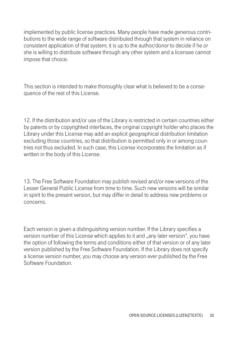implemented by public license practices. Many people have made generous contributions to the wide range of software distributed through that system in reliance on consistent application of that system; it is up to the author/donor to decide if he or she is willing to distribute software through any other system and a licensee cannot impose that choice.

This section is intended to make thoroughly clear what is believed to be a consequence of the rest of this License.

12. If the distribution and/or use of the Library is restricted in certain countries either by patents or by copyrighted interfaces, the original copyright holder who places the Library under this License may add an explicit geographical distribution limitation excluding those countries, so that distribution is permitted only in or among countries not thus excluded. In such case, this License incorporates the limitation as if written in the body of this License.

13. The Free Software Foundation may publish revised and/or new versions of the Lesser General Public License from time to time. Such new versions will be similar in spirit to the present version, but may differ in detail to address new problems or concerns.

Each version is given a distinguishing version number. If the Library specifies a version number of this License which applies to it and "any later version", you have the option of following the terms and conditions either of that version or of any later version published by the Free Software Foundation. If the Library does not specify a license version number, you may choose any version ever published by the Free Software Foundation.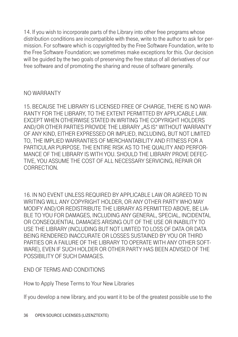14. If you wish to incorporate parts of the Library into other free programs whose distribution conditions are incompatible with these, write to the author to ask for permission. For software which is copyrighted by the Free Software Foundation, write to the Free Software Foundation; we sometimes make exceptions for this. Our decision will be guided by the two goals of preserving the free status of all derivatives of our free software and of promoting the sharing and reuse of software generally.

### NO WARRANTY

15. BECAUSE THE LIBRARY IS LICENSED FREE OF CHARGE, THERE IS NO WAR-RANTY FOR THE LIBRARY, TO THE EXTENT PERMITTED BY APPLICABLE LAW. EXCEPT WHEN OTHERWISE STATED IN WRITING THE COPYRIGHT HOLDERS AND/OR OTHER PARTIES PROVIDE THE LIBRARY "AS IS" WITHOUT WARRANTY OF ANY KIND, EITHER EXPRESSED OR IMPLIED, INCLUDING, BUT NOT LIMITED TO, THE IMPLIED WARRANTIES OF MERCHANTABILITY AND FITNESS FOR A PARTICULAR PURPOSE. THE ENTIRE RISK AS TO THE QUALITY AND PERFOR-MANCE OF THE LIBRARY IS WITH YOU. SHOULD THE LIBRARY PROVE DEFEC-TIVE, YOU ASSUME THE COST OF ALL NECESSARY SERVICING, REPAIR OR CORRECTION.

16. IN NO EVENT UNLESS REQUIRED BY APPLICABLE LAW OR AGREED TO IN WRITING WILL ANY COPYRIGHT HOLDER, OR ANY OTHER PARTY WHO MAY MODIFY AND/OR REDISTRIBUTE THE LIBRARY AS PERMITTED ABOVE, BE LIA-BLE TO YOU FOR DAMAGES, INCLUDING ANY GENERAL, SPECIAL, INCIDENTAL OR CONSEQUENTIAL DAMAGES ARISING OUT OF THE USE OR INABILITY TO USE THE LIBRARY (INCLUDING BUT NOT LIMITED TO LOSS OF DATA OR DATA BEING RENDERED INACCURATE OR LOSSES SUSTAINED BY YOU OR THIRD PARTIES OR A FAILURE OF THE LIBRARY TO OPERATE WITH ANY OTHER SOFT-WARE), EVEN IF SUCH HOLDER OR OTHER PARTY HAS BEEN ADVISED OF THE POSSIBILITY OF SUCH DAMAGES.

# END OF TERMS AND CONDITIONS

How to Apply These Terms to Your New Libraries

If you develop a new library, and you want it to be of the greatest possible use to the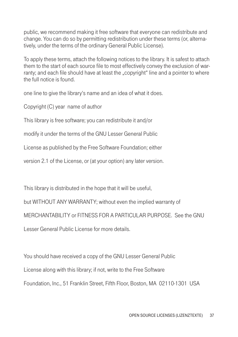public, we recommend making it free software that everyone can redistribute and change. You can do so by permitting redistribution under these terms (or, alternatively, under the terms of the ordinary General Public License).

To apply these terms, attach the following notices to the library. It is safest to attach them to the start of each source file to most effectively convey the exclusion of warranty; and each file should have at least the "copyright" line and a pointer to where the full notice is found.

one line to give the library's name and an idea of what it does.

Copyright (C) year name of author

This library is free software; you can redistribute it and/or

modify it under the terms of the GNU Lesser General Public

License as published by the Free Software Foundation; either

version 2.1 of the License, or (at your option) any later version.

This library is distributed in the hope that it will be useful,

but WITHOUT ANY WARRANTY; without even the implied warranty of MERCHANTABILITY or FITNESS FOR A PARTICULAR PURPOSE. See the GNU Lesser General Public License for more details.

You should have received a copy of the GNU Lesser General Public License along with this library; if not, write to the Free Software Foundation, Inc., 51 Franklin Street, Fifth Floor, Boston, MA 02110-1301 USA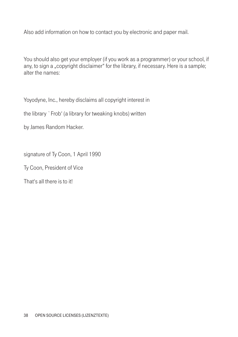Also add information on how to contact you by electronic and paper mail.

You should also get your employer (if you work as a programmer) or your school, if any, to sign a "copyright disclaimer" for the library, if necessary. Here is a sample; alter the names:

Yoyodyne, Inc., hereby disclaims all copyright interest in

the library `Frob' (a library for tweaking knobs) written

by James Random Hacker.

signature of Ty Coon, 1 April 1990

Ty Coon, President of Vice

That's all there is to it!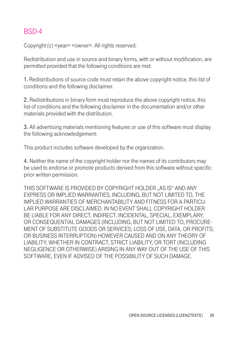## BSD-4

Copyright (c) <year> <owner>. All rights reserved.

Redistribution and use in source and binary forms, with or without modification, are permitted provided that the following conditions are met:

1. Redistributions of source code must retain the above copyright notice, this list of conditions and the following disclaimer.

2. Redistributions in binary form must reproduce the above copyright notice, this list of conditions and the following disclaimer in the documentation and/or other materials provided with the distribution.

3. All advertising materials mentioning features or use of this software must display the following acknowledgement:

This product includes software developed by the organization.

4. Neither the name of the copyright holder nor the names of its contributors may be used to endorse or promote products derived from this software without specific prior written permission.

THIS SOFTWARE IS PROVIDED BY COPYRIGHT HOLDER "AS IS" AND ANY EXPRESS OR IMPLIED WARRANTIES, INCLUDING, BUT NOT LIMITED TO, THE IMPLIED WARRANTIES OF MERCHANTABILITY AND FITNESS FOR A PARTICU-LAR PURPOSE ARE DISCLAIMED. IN NO EVENT SHALL COPYRIGHT HOLDER BE LIABLE FOR ANY DIRECT, INDIRECT, INCIDENTAL, SPECIAL, EXEMPLARY, OR CONSEQUENTIAL DAMAGES (INCLUDING, BUT NOT LIMITED TO, PROCURE-MENT OF SUBSTITUTE GOODS OR SERVICES; LOSS OF USE, DATA, OR PROFITS; OR BUSINESS INTERRUPTION) HOWEVER CAUSED AND ON ANY THEORY OF LIABILITY, WHETHER IN CONTRACT, STRICT LIABILITY, OR TORT (INCLUDING NEGLIGENCE OR OTHERWISE) ARISING IN ANY WAY OUT OF THE USE OF THIS SOFTWARE, EVEN IF ADVISED OF THE POSSIBILITY OF SUCH DAMAGE.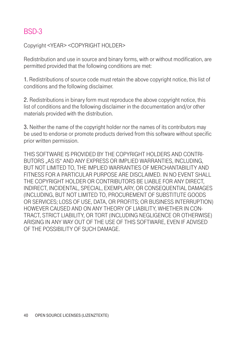# BSD-3

Copyright <YEAR> <COPYRIGHT HOLDER>

Redistribution and use in source and binary forms, with or without modification, are permitted provided that the following conditions are met:

1. Redistributions of source code must retain the above copyright notice, this list of conditions and the following disclaimer.

2. Redistributions in binary form must reproduce the above copyright notice, this list of conditions and the following disclaimer in the documentation and/or other materials provided with the distribution.

3. Neither the name of the copyright holder nor the names of its contributors may be used to endorse or promote products derived from this software without specific prior written permission.

THIS SOFTWARE IS PROVIDED BY THE COPYRIGHT HOLDERS AND CONTRI-BUTORS "AS IS" AND ANY EXPRESS OR IMPLIED WARRANTIES, INCLUDING, BUT NOT LIMITED TO, THE IMPLIED WARRANTIES OF MERCHANTABILITY AND FITNESS FOR A PARTICULAR PURPOSE ARE DISCLAIMED. IN NO EVENT SHALL THE COPYRIGHT HOLDER OR CONTRIBUTORS BE LIABLE FOR ANY DIRECT, INDIRECT, INCIDENTAL, SPECIAL, EXEMPLARY, OR CONSEQUENTIAL DAMAGES (INCLUDING, BUT NOT LIMITED TO, PROCUREMENT OF SUBSTITUTE GOODS OR SERVICES; LOSS OF USE, DATA, OR PROFITS; OR BUSINESS INTERRUPTION) HOWEVER CAUSED AND ON ANY THEORY OF LIABILITY, WHETHER IN CON-TRACT, STRICT LIABILITY, OR TORT (INCLUDING NEGLIGENCE OR OTHERWISE) ARISING IN ANY WAY OUT OF THE USE OF THIS SOFTWARE, EVEN IF ADVISED OF THE POSSIBILITY OF SUCH DAMAGE.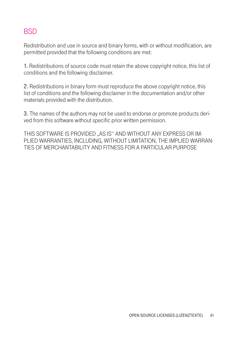# **BSD**

Redistribution and use in source and binary forms, with or without modification, are permitted provided that the following conditions are met:

1. Redistributions of source code must retain the above copyright notice, this list of conditions and the following disclaimer.

2. Redistributions in binary form must reproduce the above copyright notice, this list of conditions and the following disclaimer in the documentation and/or other materials provided with the distribution.

3. The names of the authors may not be used to endorse or promote products derived from this software without specific prior written permission.

THIS SOFTWARE IS PROVIDED ..AS IS" AND WITHOUT ANY EXPRESS OR IM-PLIED WARRANTIES, INCLUDING, WITHOUT LIMITATION, THE IMPLIED WARRAN-TIES OF MERCHANTABILITY AND FITNESS FOR A PARTICULAR PURPOSE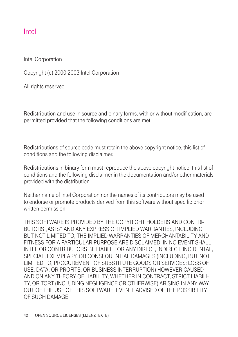### Intel

Intel Corporation

Copyright (c) 2000-2003 Intel Corporation

All rights reserved.

Redistribution and use in source and binary forms, with or without modification, are permitted provided that the following conditions are met:

Redistributions of source code must retain the above copyright notice, this list of conditions and the following disclaimer.

Redistributions in binary form must reproduce the above copyright notice, this list of conditions and the following disclaimer in the documentation and/or other materials provided with the distribution.

Neither name of Intel Corporation nor the names of its contributors may be used to endorse or promote products derived from this software without specific prior written permission.

THIS SOFTWARE IS PROVIDED BY THE COPYRIGHT HOLDERS AND CONTRI-BUTORS ..AS IS" AND ANY EXPRESS OR IMPLIED WARRANTIES, INCLUDING, BUT NOT LIMITED TO, THE IMPLIED WARRANTIES OF MERCHANTABILITY AND FITNESS FOR A PARTICULAR PURPOSE ARE DISCLAIMED. IN NO EVENT SHALL INTEL OR CONTRIBUTORS BE LIABLE FOR ANY DIRECT, INDIRECT, INCIDENTAL, SPECIAL, EXEMPLARY, OR CONSEQUENTIAL DAMAGES (INCLUDING, BUT NOT LIMITED TO, PROCUREMENT OF SUBSTITUTE GOODS OR SERVICES; LOSS OF USE, DATA, OR PROFITS; OR BUSINESS INTERRUPTION) HOWEVER CAUSED AND ON ANY THEORY OF LIABILITY, WHETHER IN CONTRACT, STRICT LIABILI-TY, OR TORT (INCLUDING NEGLIGENCE OR OTHERWISE) ARISING IN ANY WAY OUT OF THE USE OF THIS SOFTWARE, EVEN IF ADVISED OF THE POSSIBILITY OF SUCH DAMAGE.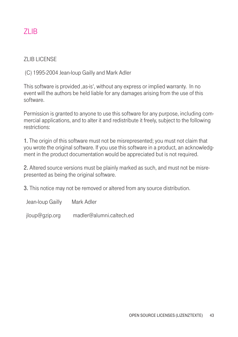# ZLIB

#### **ZLIB LICENSE**

(C) 1995-2004 Jean-loup Gailly and Mark Adler

This software is provided , as-is', without any express or implied warranty. In no event will the authors be held liable for any damages arising from the use of this software.

Permission is granted to anyone to use this software for any purpose, including commercial applications, and to alter it and redistribute it freely, subject to the following restrictions:

1. The origin of this software must not be misrepresented; you must not claim that you wrote the original software. If you use this software in a product, an acknowledgment in the product documentation would be appreciated but is not required.

2. Altered source versions must be plainly marked as such, and must not be misrepresented as being the original software.

3. This notice may not be removed or altered from any source distribution.

Jean-loup Gailly Mark Adler

jloup@gzip.org madler@alumni.caltech.ed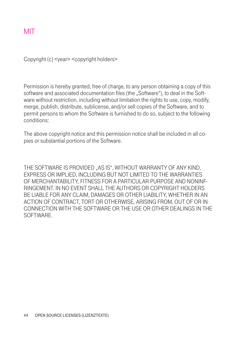### MIT

Copyright (c) <year> <copyright holders>

Permission is hereby granted, free of charge, to any person obtaining a copy of this software and associated documentation files (the "Software"), to deal in the Software without restriction, including without limitation the rights to use, copy, modify, merge, publish, distribute, sublicense, and/or sell copies of the Software, and to permit persons to whom the Software is furnished to do so, subject to the following conditions:

The above copyright notice and this permission notice shall be included in all copies or substantial portions of the Software.

THE SOFTWARE IS PROVIDED ..AS IS", WITHOUT WARRANTY OF ANY KIND. EXPRESS OR IMPLIED, INCLUDING BUT NOT LIMITED TO THE WARRANTIES OF MERCHANTABILITY, FITNESS FOR A PARTICULAR PURPOSE AND NONINF-RINGEMENT. IN NO EVENT SHALL THE AUTHORS OR COPYRIGHT HOLDERS BE LIABLE FOR ANY CLAIM, DAMAGES OR OTHER LIABILITY, WHETHER IN AN ACTION OF CONTRACT, TORT OR OTHERWISE, ARISING FROM, OUT OF OR IN CONNECTION WITH THE SOFTWARE OR THE USE OR OTHER DEALINGS IN THE **SOFTWARE**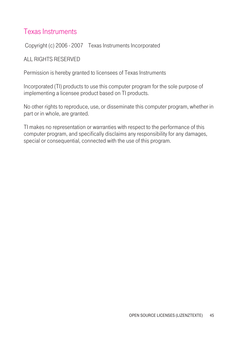### Texas Instruments

Copyright (c) 2006 - 2007 Texas Instruments Incorporated

#### ALL RIGHTS RESERVED

Permission is hereby granted to licensees of Texas Instruments

Incorporated (TI) products to use this computer program for the sole purpose of implementing a licensee product based on TI products.

No other rights to reproduce, use, or disseminate this computer program, whether in part or in whole, are granted.

TI makes no representation or warranties with respect to the performance of this computer program, and specifically disclaims any responsibility for any damages, special or consequential, connected with the use of this program.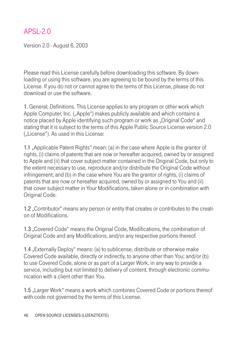## APSL-2.0

Version 2.0 - August 6, 2003

Please read this License carefully before downloading this software. By downloading or using this software, you are agreeing to be bound by the terms of this License. If you do not or cannot agree to the terms of this License, please do not download or use the software.

1. General; Definitions. This License applies to any program or other work which Apple Computer, Inc. ("Apple") makes publicly available and which contains a notice placed by Apple identifying such program or work as "Original Code" and stating that it is subject to the terms of this Apple Public Source License version 2.0 (..License"). As used in this License:

1.1 "Applicable Patent Rights" mean: (a) in the case where Apple is the grantor of rights, (i) claims of patents that are now or hereafter acquired, owned by or assigned to Apple and (ii) that cover subject matter contained in the Original Code, but only to the extent necessary to use, reproduce and/or distribute the Original Code without infringement; and (b) in the case where You are the grantor of rights, (i) claims of patents that are now or hereafter acquired, owned by or assigned to You and (ii) that cover subject matter in Your Modifications, taken alone or in combination with Original Code.

1.2 . Contributor "means any person or entity that creates or contributes to the creation of Modifications.

1.3 "Covered Code" means the Original Code, Modifications, the combination of Original Code and any Modifications, and/or any respective portions thereof.

1.4 "Externally Deploy" means: (a) to sublicense, distribute or otherwise make Covered Code available, directly or indirectly, to anyone other than You; and/or (b) to use Covered Code, alone or as part of a Larger Work, in any way to provide a service, including but not limited to delivery of content, through electronic communication with a client other than You.

1.5 "Larger Work" means a work which combines Covered Code or portions thereof with code not governed by the terms of this License.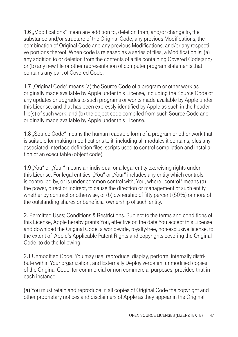1.6 .Modifications" mean any addition to, deletion from, and/or change to, the substance and/or structure of the Original Code, any previous Modifications, the combination of Original Code and any previous Modifications, and/or any respective portions thereof. When code is released as a series of files, a Modification is: (a) any addition to or deletion from the contents of a file containing Covered Code;and/ or (b) any new file or other representation of computer program statements that contains any part of Covered Code.

1.7 "Original Code" means (a) the Source Code of a program or other work as originally made available by Apple under this License, including the Source Code of any updates or upgrades to such programs or works made available by Apple under this License, and that has been expressly identified by Apple as such in the header file(s) of such work; and (b) the object code compiled from such Source Code and originally made available by Apple under this License.

1.8 "Source Code" means the human readable form of a program or other work that is suitable for making modifications to it, including all modules it contains, plus any associated interface definition files, scripts used to control compilation and installation of an executable (object code).

1.9 "You" or "Your" means an individual or a legal entity exercising rights under this License. For legal entities, "You" or "Your" includes any entity which controls, is controlled by, or is under common control with, You, where "control" means (a) the power, direct or indirect, to cause the direction or management of such entity, whether by contract or otherwise, or (b) ownership of fifty percent (50%) or more of the outstanding shares or beneficial ownership of such entity.

2. Permitted Uses; Conditions & Restrictions. Subject to the terms and conditions of this License, Apple hereby grants You, effective on the date You accept this License and download the Original Code, a world-wide, royalty-free, non-exclusive license, to the extent of Apple's Applicable Patent Rights and copyrights covering the Original-Code, to do the following:

2.1 Unmodified Code. You may use, reproduce, display, perform, internally distribute within Your organization, and Externally Deploy verbatim, unmodified copies of the Original Code, for commercial or non-commercial purposes, provided that in each instance:

(a) You must retain and reproduce in all copies of Original Code the copyright and other proprietary notices and disclaimers of Apple as they appear in the Original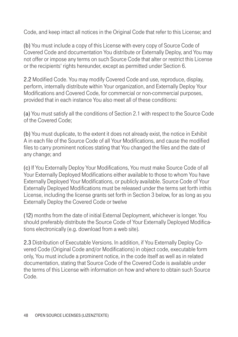Code, and keep intact all notices in the Original Code that refer to this License; and

(b) You must include a copy of this License with every copy of Source Code of Covered Code and documentation You distribute or Externally Deploy, and You may not offer or impose any terms on such Source Code that alter or restrict this License or the recipients' rights hereunder, except as permitted under Section 6.

2.2 Modified Code. You may modify Covered Code and use, reproduce, display, perform, internally distribute within Your organization, and Externally Deploy Your Modifications and Covered Code, for commercial or non-commercial purposes, provided that in each instance You also meet all of these conditions:

(a) You must satisfy all the conditions of Section 2.1 with respect to the Source Code of the Covered Code;

(b) You must duplicate, to the extent it does not already exist, the notice in Exhibit A in each file of the Source Code of all Your Modifications, and cause the modified files to carry prominent notices stating that You changed the files and the date of any change; and

(c) If You Externally Deploy Your Modifications, You must make Source Code of all Your Externally Deployed Modifications either available to those to whom You have Externally Deployed Your Modifications, or publicly available. Source Code of Your Externally Deployed Modifications must be released under the terms set forth inthis License, including the license grants set forth in Section 3 below, for as long as you Externally Deploy the Covered Code or twelve

(12) months from the date of initial External Deployment, whichever is longer. You should preferably distribute the Source Code of Your Externally Deployed Modifications electronically (e.g. download from a web site).

2.3 Distribution of Executable Versions. In addition, if You Externally Deploy Covered Code (Original Code and/or Modifications) in object code, executable form only, You must include a prominent notice, in the code itself as well as in related documentation, stating that Source Code of the Covered Code is available under the terms of this License with information on how and where to obtain such Source Code.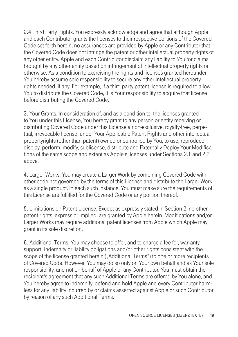2.4 Third Party Rights. You expressly acknowledge and agree that although Apple and each Contributor grants the licenses to their respective portions of the Covered Code set forth herein, no assurances are provided by Apple or any Contributor that the Covered Code does not infringe the patent or other intellectual property rights of any other entity. Apple and each Contributor disclaim any liability to You for claims brought by any other entity based on infringement of intellectual property rights or otherwise. As a condition to exercising the rights and licenses granted hereunder, You hereby assume sole responsibility to secure any other intellectual property rights needed, if any. For example, if a third party patent license is required to allow You to distribute the Covered Code, it is Your responsibility to acquire that license before distributing the Covered Code.

3. Your Grants. In consideration of, and as a condition to, the licenses granted to You under this License, You hereby grant to any person or entity receiving or distributing Covered Code under this License a non-exclusive, royalty-free, perpetual, irrevocable license, under Your Applicable Patent Rights and other intellectual propertyrights (other than patent) owned or controlled by You, to use, reproduce, display, perform, modify, sublicense, distribute and Externally Deploy Your Modifications of the same scope and extent as Apple's licenses under Sections 2.1 and 2.2 above.

4. Larger Works. You may create a Larger Work by combining Covered Code with other code not governed by the terms of this License and distribute the Larger Work as a single product. In each such instance, You must make sure the requirements of this License are fulfilled for the Covered Code or any portion thereof.

5. Limitations on Patent License. Except as expressly stated in Section 2, no other patent rights, express or implied, are granted by Apple herein. Modifications and/or Larger Works may require additional patent licenses from Apple which Apple may grant in its sole discretion.

6. Additional Terms. You may choose to offer, and to charge a fee for, warranty, support, indemnity or liability obligations and/or other rights consistent with the scope of the license granted herein ("Additional Terms") to one or more recipients of Covered Code. However, You may do so only on Your own behalf and as Your sole responsibility, and not on behalf of Apple or any Contributor. You must obtain the recipient's agreement that any such Additional Terms are offered by You alone, and You hereby agree to indemnify, defend and hold Apple and every Contributor harmless for any liability incurred by or claims asserted against Apple or such Contributor by reason of any such Additional Terms.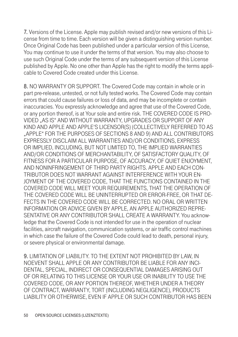7. Versions of the License. Apple may publish revised and/or new versions of this License from time to time. Each version will be given a distinguishing version number. Once Original Code has been published under a particular version of this License, You may continue to use it under the terms of that version. You may also choose to use such Original Code under the terms of any subsequent version of this License published by Apple. No one other than Apple has the right to modify the terms applicable to Covered Code created under this License.

8. NO WARRANTY OR SUPPORT. The Covered Code may contain in whole or in part pre-release, untested, or not fully tested works. The Covered Code may contain errors that could cause failures or loss of data, and may be incomplete or contain inaccuracies. You expressly acknowledge and agree that use of the Covered Code, or any portion thereof, is at Your sole and entire risk. THE COVERED CODE IS PRO-VIDED "AS IS" AND WITHOUT WARRANTY, UPGRADES OR SUPPORT OF ANY KIND AND APPLE AND APPLE'S LICENSOR(S) (COLLECTIVELY REFERRED TO AS "APPLE" FOR THE PURPOSES OF SECTIONS 8 AND 9) AND ALL CONTRIBUTORS EXPRESSLY DISCLAIM ALL WARRANTIES AND/OR CONDITIONS, EXPRESS OR IMPLIED, INCLUDING, BUT NOT LIMITED TO, THE IMPLIED WARRANTIES AND/OR CONDITIONS OF MERCHANTABILITY, OF SATISFACTORY QUALITY, OF FITNESS FOR A PARTICULAR PURPOSE, OF ACCURACY, OF QUIET ENJOYMENT, AND NONINFRINGEMENT OF THIRD PARTY RIGHTS. APPLE AND EACH CON-TRIBUTOR DOES NOT WARRANT AGAINST INTERFERENCE WITH YOUR EN-JOYMENT OF THE COVERED CODE, THAT THE FUNCTIONS CONTAINED IN THE COVERED CODE WILL MEET YOUR REQUIREMENTS, THAT THE OPERATION OF THE COVERED CODE WILL BE UNINTERRUPTED OR ERROR-FREE, OR THAT DE-FECTS IN THE COVERED CODE WILL BE CORRECTED. NO ORAL OR WRITTEN INFORMATION OR ADVICE GIVEN BY APPLE, AN APPLE AUTHORIZED REPRE-SENTATIVE OR ANY CONTRIBUTOR SHALL CREATE A WARRANTY. You acknowledge that the Covered Code is not intended for use in the operation of nuclear facilities, aircraft navigation, communication systems, or air traffic control machines in which case the failure of the Covered Code could lead to death, personal injury, or severe physical or environmental damage.

9. LIMITATION OF LIABILITY. TO THE EXTENT NOT PROHIBITED BY LAW, IN NOEVENT SHALL APPLE OR ANY CONTRIBUTOR BE LIABLE FOR ANY INCI-DENTAL, SPECIAL, INDIRECT OR CONSEQUENTIAL DAMAGES ARISING OUT OF OR RELATING TO THIS LICENSE OR YOUR USE OR INABILITY TO USE THE COVERED CODE, OR ANY PORTION THEREOF, WHETHER UNDER A THEORY OF CONTRACT, WARRANTY, TORT (INCLUDING NEGLIGENCE), PRODUCTS LIABILITY OR OTHERWISE, EVEN IF APPLE OR SUCH CONTRIBUTOR HAS BEEN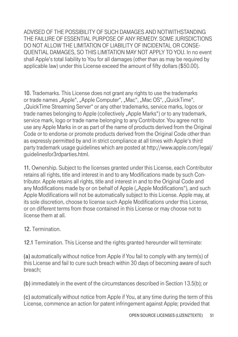ADVISED OF THE POSSIBILITY OF SUCH DAMAGES AND NOTWITHSTANDING THE FAILURE OF ESSENTIAL PURPOSE OF ANY REMEDY. SOME JURISDICTIONS DO NOT ALLOW THE LIMITATION OF LIABILITY OF INCIDENTAL OR CONSE-QUENTIAL DAMAGES, SO THIS LIMITATION MAY NOT APPLY TO YOU. In no event shall Apple's total liability to You for all damages (other than as may be required by applicable law) under this License exceed the amount of fifty dollars (\$50.00).

10. Trademarks. This License does not grant any rights to use the trademarks or trade names "Apple", "Apple Computer", "Mac", "Mac OS", "QuickTime", "QuickTime Streaming Server" or any other trademarks, service marks, logos or trade names belonging to Apple (collectively "Apple Marks") or to any trademark, service mark, logo or trade name belonging to any Contributor. You agree not to use any Apple Marks in or as part of the name of products derived from the Original Code or to endorse or promote products derived from the Original Code other than as expressly permitted by and in strict compliance at all times with Apple's third party trademark usage guidelines which are posted at http://www.apple.com/legal/ guidelinesfor3rdparties.html.

11. Ownership. Subject to the licenses granted under this License, each Contributor retains all rights, title and interest in and to any Modifications made by such Contributor. Apple retains all rights, title and interest in and to the Original Code and any Modifications made by or on behalf of Apple ("Apple Modifications"), and such Apple Modifications will not be automatically subject to this License. Apple may, at its sole discretion, choose to license such Apple Modifications under this License, or on different terms from those contained in this License or may choose not to license them at all.

### 12. Termination.

12.1 Termination. This License and the rights granted hereunder will terminate:

(a) automatically without notice from Apple if You fail to comply with any term(s) of this License and fail to cure such breach within 30 days of becoming aware of such breach;

(b) immediately in the event of the circumstances described in Section 13.5(b); or

(c) automatically without notice from Apple if You, at any time during the term of this License, commence an action for patent infringement against Apple; provided that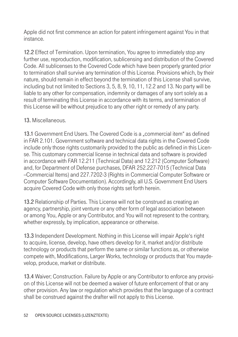Apple did not first commence an action for patent infringement against You in that instance.

12.2 Effect of Termination. Upon termination, You agree to immediately stop any further use, reproduction, modification, sublicensing and distribution of the Covered Code. All sublicenses to the Covered Code which have been properly granted prior to termination shall survive any termination of this License. Provisions which, by their nature, should remain in effect beyond the termination of this License shall survive, including but not limited to Sections 3, 5, 8, 9, 10, 11, 12.2 and 13. No party will be liable to any other for compensation, indemnity or damages of any sort solely as a result of terminating this License in accordance with its terms, and termination of this License will be without prejudice to any other right or remedy of any party.

#### 13. Miscellaneous.

13.1 Government End Users. The Covered Code is a ..commercial item" as defined in FAR 2.101. Government software and technical data rights in the Covered Code include only those rights customarily provided to the public as defined in this License. This customary commercial license in technical data and software is provided in accordance with FAR 12.211 (Technical Data) and 12.212 (Computer Software) and, for Department of Defense purchases, DFAR 252.227-7015 (Technical Data --Commercial Items) and 227.7202-3 (Rights in Commercial Computer Software or Computer Software Documentation). Accordingly, all U.S. Government End Users acquire Covered Code with only those rights set forth herein.

13.2 Relationship of Parties. This License will not be construed as creating an agency, partnership, joint venture or any other form of legal association between or among You, Apple or any Contributor, and You will not represent to the contrary, whether expressly, by implication, appearance or otherwise.

13.3 Independent Development. Nothing in this License will impair Apple's right to acquire, license, develop, have others develop for it, market and/or distribute technology or products that perform the same or similar functions as, or otherwise compete with, Modifications, Larger Works, technology or products that You maydevelop, produce, market or distribute.

13.4 Waiver; Construction. Failure by Apple or any Contributor to enforce any provision of this License will not be deemed a waiver of future enforcement of that or any other provision. Any law or regulation which provides that the language of a contract shall be construed against the drafter will not apply to this License.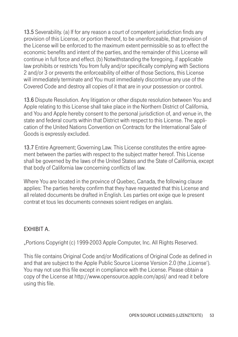13.5 Severability. (a) If for any reason a court of competent jurisdiction finds any provision of this License, or portion thereof, to be unenforceable, that provision of the License will be enforced to the maximum extent permissible so as to effect the economic benefits and intent of the parties, and the remainder of this License will continue in full force and effect. (b) Notwithstanding the foregoing, if applicable law prohibits or restricts You from fully and/or specifically complying with Sections 2 and/or 3 or prevents the enforceability of either of those Sections, this License will immediately terminate and You must immediately discontinue any use of the Covered Code and destroy all copies of it that are in your possession or control.

13.6 Dispute Resolution. Any litigation or other dispute resolution between You and Apple relating to this License shall take place in the Northern District of California, and You and Apple hereby consent to the personal jurisdiction of, and venue in, the state and federal courts within that District with respect to this License. The application of the United Nations Convention on Contracts for the International Sale of Goods is expressly excluded.

13.7 Entire Agreement; Governing Law. This License constitutes the entire agreement between the parties with respect to the subject matter hereof. This License shall be governed by the laws of the United States and the State of California, except that body of California law concerning conflicts of law.

Where You are located in the province of Quebec, Canada, the following clause applies: The parties hereby confirm that they have requested that this License and all related documents be drafted in English. Les parties ont exige que le present contrat et tous les documents connexes soient rediges en anglais.

### EXHIBIT A.

"Portions Copyright (c) 1999-2003 Apple Computer, Inc. All Rights Reserved.

This file contains Original Code and/or Modifications of Original Code as defined in and that are subject to the Apple Public Source License Version 2.0 (the ,License'). You may not use this file except in compliance with the License. Please obtain a copy of the License at http://www.opensource.apple.com/apsl/ and read it before using this file.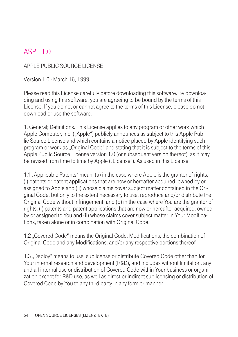# ASPL-1.0

### APPLE PUBLIC SOURCE LICENSE

Version 1.0 - March 16, 1999

Please read this License carefully before downloading this software. By downloading and using this software, you are agreeing to be bound by the terms of this License. If you do not or cannot agree to the terms of this License, please do not download or use the software.

1. General; Definitions. This License applies to any program or other work which Apple Computer, Inc. ("Apple") publicly announces as subject to this Apple Public Source License and which contains a notice placed by Apple identifying such program or work as "Original Code" and stating that it is subject to the terms of this Apple Public Source License version 1.0 (or subsequent version thereof), as it may be revised from time to time by Apple ("License"). As used in this License:

1.1 "Applicable Patents" mean: (a) in the case where Apple is the grantor of rights, (i) patents or patent applications that are now or hereafter acquired, owned by or assigned to Apple and (ii) whose claims cover subject matter contained in the Original Code, but only to the extent necessary to use, reproduce and/or distribute the Original Code without infringement; and (b) in the case where You are the grantor of rights, (i) patents and patent applications that are now or hereafter acquired, owned by or assigned to You and (ii) whose claims cover subject matter in Your Modifications, taken alone or in combination with Original Code.

1.2 "Covered Code" means the Original Code, Modifications, the combination of Original Code and any Modifications, and/or any respective portions thereof.

1.3 "Deploy" means to use, sublicense or distribute Covered Code other than for Your internal research and development (R&D), and includes without limitation, any and all internal use or distribution of Covered Code within Your business or organization except for R&D use, as well as direct or indirect sublicensing or distribution of Covered Code by You to any third party in any form or manner.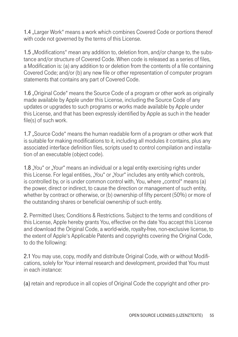1.4 "Larger Work" means a work which combines Covered Code or portions thereof with code not governed by the terms of this License.

1.5 "Modifications" mean any addition to, deletion from, and/or change to, the substance and/or structure of Covered Code. When code is released as a series of files, a Modification is: (a) any addition to or deletion from the contents of a file containing Covered Code; and/or (b) any new file or other representation of computer program statements that contains any part of Covered Code.

1.6 "Original Code" means the Source Code of a program or other work as originally made available by Apple under this License, including the Source Code of any updates or upgrades to such programs or works made available by Apple under this License, and that has been expressly identified by Apple as such in the header file(s) of such work.

1.7 "Source Code" means the human readable form of a program or other work that is suitable for making modifications to it, including all modules it contains, plus any associated interface definition files, scripts used to control compilation and installation of an executable (object code).

1.8 "You" or "Your" means an individual or a legal entity exercising rights under this License. For legal entities, "You" or "Your" includes any entity which controls, is controlled by, or is under common control with, You, where "control" means (a) the power, direct or indirect, to cause the direction or management of such entity, whether by contract or otherwise, or (b) ownership of fifty percent (50%) or more of the outstanding shares or beneficial ownership of such entity.

2. Permitted Uses; Conditions & Restrictions. Subject to the terms and conditions of this License, Apple hereby grants You, effective on the date You accept this License and download the Original Code, a world-wide, royalty-free, non-exclusive license, to the extent of Apple's Applicable Patents and copyrights covering the Original Code, to do the following:

2.1 You may use, copy, modify and distribute Original Code, with or without Modifications, solely for Your internal research and development, provided that You must in each instance:

(a) retain and reproduce in all copies of Original Code the copyright and other pro-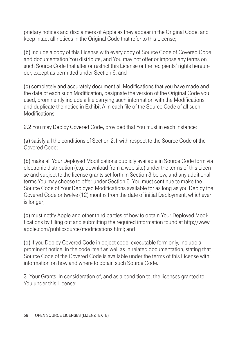prietary notices and disclaimers of Apple as they appear in the Original Code, and keep intact all notices in the Original Code that refer to this License;

(b) include a copy of this License with every copy of Source Code of Covered Code and documentation You distribute, and You may not offer or impose any terms on such Source Code that alter or restrict this License or the recipients' rights hereunder, except as permitted under Section 6; and

(c) completely and accurately document all Modifications that you have made and the date of each such Modification, designate the version of the Original Code you used, prominently include a file carrying such information with the Modifications, and duplicate the notice in Exhibit A in each file of the Source Code of all such **Modifications** 

2.2 You may Deploy Covered Code, provided that You must in each instance:

(a) satisfy all the conditions of Section 2.1 with respect to the Source Code of the Covered Code;

(b) make all Your Deployed Modifications publicly available in Source Code form via electronic distribution (e.g. download from a web site) under the terms of this License and subject to the license grants set forth in Section 3 below, and any additional terms You may choose to offer under Section 6. You must continue to make the Source Code of Your Deployed Modifications available for as long as you Deploy the Covered Code or twelve (12) months from the date of initial Deployment, whichever is longer;

(c) must notify Apple and other third parties of how to obtain Your Deployed Modifications by filling out and submitting the required information found at http://www. apple.com/publicsource/modifications.html; and

(d) if you Deploy Covered Code in object code, executable form only, include a prominent notice, in the code itself as well as in related documentation, stating that Source Code of the Covered Code is available under the terms of this License with information on how and where to obtain such Source Code.

3. Your Grants. In consideration of, and as a condition to, the licenses granted to You under this License: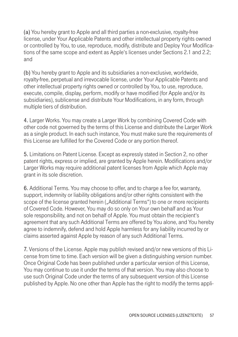(a) You hereby grant to Apple and all third parties a non-exclusive, royalty-free license, under Your Applicable Patents and other intellectual property rights owned or controlled by You, to use, reproduce, modify, distribute and Deploy Your Modifications of the same scope and extent as Apple's licenses under Sections 2.1 and 2.2; and

(b) You hereby grant to Apple and its subsidiaries a non-exclusive, worldwide, royalty-free, perpetual and irrevocable license, under Your Applicable Patents and other intellectual property rights owned or controlled by You, to use, reproduce, execute, compile, display, perform, modify or have modified (for Apple and/or its subsidiaries), sublicense and distribute Your Modifications, in any form, through multiple tiers of distribution.

4. Larger Works. You may create a Larger Work by combining Covered Code with other code not governed by the terms of this License and distribute the Larger Work as a single product. In each such instance, You must make sure the requirements of this License are fulfilled for the Covered Code or any portion thereof.

5. Limitations on Patent License. Except as expressly stated in Section 2, no other patent rights, express or implied, are granted by Apple herein. Modifications and/or Larger Works may require additional patent licenses from Apple which Apple may grant in its sole discretion.

6. Additional Terms. You may choose to offer, and to charge a fee for, warranty, support, indemnity or liability obligations and/or other rights consistent with the scope of the license granted herein ("Additional Terms") to one or more recipients of Covered Code. However, You may do so only on Your own behalf and as Your sole responsibility, and not on behalf of Apple. You must obtain the recipient's agreement that any such Additional Terms are offered by You alone, and You hereby agree to indemnify, defend and hold Apple harmless for any liability incurred by or claims asserted against Apple by reason of any such Additional Terms.

7. Versions of the License. Apple may publish revised and/or new versions of this License from time to time. Each version will be given a distinguishing version number. Once Original Code has been published under a particular version of this License, You may continue to use it under the terms of that version. You may also choose to use such Original Code under the terms of any subsequent version of this License published by Apple. No one other than Apple has the right to modify the terms appli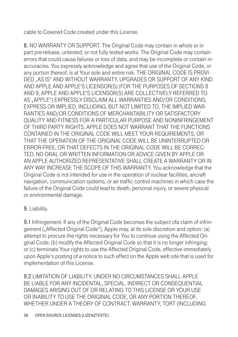cable to Covered Code created under this License.

8. NO WARRANTY OR SUPPORT. The Original Code may contain in whole or in part pre-release, untested, or not fully tested works. The Original Code may contain errors that could cause failures or loss of data, and may be incomplete or contain inaccuracies. You expressly acknowledge and agree that use of the Original Code, or any portion thereof, is at Your sole and entire risk. THE ORIGINAL CODE IS PROVI-DED "AS IS" AND WITHOUT WARRANTY, UPGRADES OR SUPPORT OF ANY KIND AND APPLE AND APPLE'S LICENSOR(S) (FOR THE PURPOSES OF SECTIONS 8 AND 9, APPLE AND APPLE'S LICENSOR(S) ARE COLLECTIVELY REFERRED TO AS "APPLE") EXPRESSLY DISCLAIM ALL WARRANTIES AND/OR CONDITIONS, EXPRESS OR IMPLIED, INCLUDING, BUT NOT LIMITED TO, THE IMPLIED WAR-RANTIES AND/OR CONDITIONS OF MERCHANTABILITY OR SATISFACTORY QUALITY AND FITNESS FOR A PARTICULAR PURPOSE AND NONINFRINGEMENT OF THIRD PARTY RIGHTS. APPLE DOES NOT WARRANT THAT THE FUNCTIONS CONTAINED IN THE ORIGINAL CODE WILL MEET YOUR REQUIREMENTS, OR THAT THE OPERATION OF THE ORIGINAL CODE WILL BE UNINTERRUPTED OR ERROR-FREE, OR THAT DEFECTS IN THE ORIGINAL CODE WILL BE CORREC-TED. NO ORAL OR WRITTEN INFORMATION OR ADVICE GIVEN BY APPLE OR AN APPLE AUTHORIZED REPRESENTATIVE SHALL CREATE A WARRANTY OR IN ANY WAY INCREASE THE SCOPE OF THIS WARRANTY. You acknowledge that the Original Code is not intended for use in the operation of nuclear facilities, aircraft navigation, communication systems, or air traffic control machines in which case the failure of the Original Code could lead to death, personal injury, or severe physical or environmental damage.

### 9. Liability.

9.1 Infringement. If any of the Original Code becomes the subject ofa claim of infringement ("Affected Original Code"), Apple may, at its sole discretion and option: (a) attempt to procure the rights necessary for You to continue using the Affected Original Code; (b) modify the Affected Original Code so that it is no longer infringing; or (c) terminate Your rights to use the Affected Original Code, effective immediately upon Apple's posting of a notice to such effect on the Apple web site that is used for implementation of this License.

9.2 LIMITATION OF LIABILITY. UNDER NO CIRCUMSTANCES SHALL APPLE BE LIABLE FOR ANY INCIDENTAL, SPECIAL, INDIRECT OR CONSEQUENTIAL DAMAGES ARISING OUT OF OR RELATING TO THIS LICENSE OR YOUR USE OR INABILITY TO USE THE ORIGINAL CODE, OR ANY PORTION THEREOF, WHETHER UNDER A THEORY OF CONTRACT, WARRANTY, TORT (INCLUDING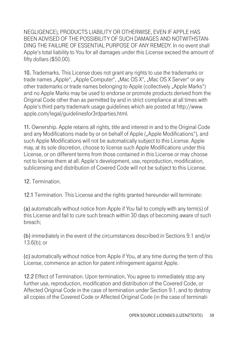NEGLIGENCE), PRODUCTS LIABILITY OR OTHERWISE, EVEN IF APPLE HAS BEEN ADVISED OF THE POSSIBILITY OF SUCH DAMAGES AND NOTWITHSTAN-DING THE FAILURE OF ESSENTIAL PURPOSE OF ANY REMEDY. In no event shall Apple's total liability to You for all damages under this License exceed the amount of fifty dollars (\$50.00).

10. Trademarks. This License does not grant any rights to use the trademarks or trade names "Apple", "Apple Computer", "Mac OS X", "Mac OS X Server" or any other trademarks or trade names belonging to Apple (collectively "Apple Marks") and no Apple Marks may be used to endorse or promote products derived from the Original Code other than as permitted by and in strict compliance at all times with Apple's third party trademark usage guidelines which are posted at http://www. apple.com/legal/guidelinesfor3rdparties.html.

11. Ownership. Apple retains all rights, title and interest in and to the Original Code and any Modifications made by or on behalf of Apple ("Apple Modifications"), and such Apple Modifications will not be automatically subject to this License. Apple may, at its sole discretion, choose to license such Apple Modifications under this License, or on different terms from those contained in this License or may choose not to license them at all. Apple's development, use, reproduction, modification, sublicensing and distribution of Covered Code will not be subject to this License.

12. Termination.

12.1 Termination. This License and the rights granted hereunder will terminate:

(a) automatically without notice from Apple if You fail to comply with any term(s) of this License and fail to cure such breach within 30 days of becoming aware of such breach;

(b) immediately in the event of the circumstances described in Sections 9.1 and/or 13.6(b); or

(c) automatically without notice from Apple if You, at any time during the term of this License, commence an action for patent infringement against Apple.

12.2 Effect of Termination. Upon termination, You agree to immediately stop any further use, reproduction, modification and distribution of the Covered Code, or Affected Original Code in the case of termination under Section 9.1, and to destroy all copies of the Covered Code or Affected Original Code (in the case of terminati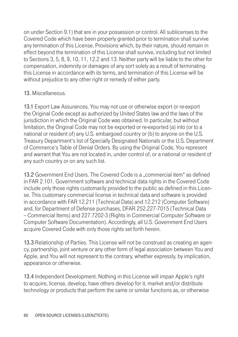on under Section 9.1) that are in your possession or control. All sublicenses to the Covered Code which have been properly granted prior to termination shall survive any termination of this License. Provisions which, by their nature, should remain in effect beyond the termination of this License shall survive, including but not limited to Sections 3, 5, 8, 9, 10, 11, 12.2 and 13. Neither party will be liable to the other for compensation, indemnity or damages of any sort solely as a result of terminating this License in accordance with its terms, and termination of this License will be without prejudice to any other right or remedy of either party.

#### 13. Miscellaneous.

13.1 Export Law Assurances. You may not use or otherwise export or re-export the Original Code except as authorized by United States law and the laws of the jurisdiction in which the Original Code was obtained. In particular, but without limitation, the Original Code may not be exported or re-exported (a) into (or to a national or resident of) any U.S. embargoed country or (b) to anyone on the U.S. Treasury Department's list of Specially Designated Nationals or the U.S. Department of Commerce's Table of Denial Orders. By using the Original Code, You represent and warrant that You are not located in, under control of, or a national or resident of any such country or on any such list.

13.2 Government End Users. The Covered Code is a "commercial item" as defined in FAR 2.101. Government software and technical data rights in the Covered Code include only those rights customarily provided to the public as defined in this License. This customary commercial license in technical data and software is provided in accordance with FAR 12.211 (Technical Data) and 12.212 (Computer Software) and, for Department of Defense purchases, DFAR 252.227-7015 (Technical Data -- Commercial Items) and 227.7202-3 (Rights in Commercial Computer Software or Computer Software Documentation). Accordingly, all U.S. Government End Users acquire Covered Code with only those rights set forth herein.

13.3 Relationship of Parties. This License will not be construed as creating an agency, partnership, joint venture or any other form of legal association between You and Apple, and You will not represent to the contrary, whether expressly, by implication, appearance or otherwise.

13.4 Independent Development. Nothing in this License will impair Apple's right to acquire, license, develop, have others develop for it, market and/or distribute technology or products that perform the same or similar functions as, or otherwise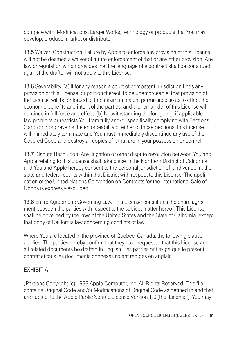compete with, Modifications, Larger Works, technology or products that You may develop, produce, market or distribute.

13.5 Waiver; Construction. Failure by Apple to enforce any provision of this License will not be deemed a waiver of future enforcement of that or any other provision. Any law or regulation which provides that the language of a contract shall be construed against the drafter will not apply to this License.

13.6 Severability. (a) If for any reason a court of competent jurisdiction finds any provision of this License, or portion thereof, to be unenforceable, that provision of the License will be enforced to the maximum extent permissible so as to effect the economic benefits and intent of the parties, and the remainder of this License will continue in full force and effect. (b) Notwithstanding the foregoing, if applicable law prohibits or restricts You from fully and/or specifically complying with Sections 2 and/or 3 or prevents the enforceability of either of those Sections, this License will immediately terminate and You must immediately discontinue any use of the Covered Code and destroy all copies of it that are in your possession or control.

13.7 Dispute Resolution. Any litigation or other dispute resolution between You and Apple relating to this License shall take place in the Northern District of California, and You and Apple hereby consent to the personal jurisdiction of, and venue in, the state and federal courts within that District with respect to this License. The application of the United Nations Convention on Contracts for the International Sale of Goods is expressly excluded.

13.8 Entire Agreement; Governing Law. This License constitutes the entire agreement between the parties with respect to the subject matter hereof. This License shall be governed by the laws of the United States and the State of California, except that body of California law concerning conflicts of law.

Where You are located in the province of Quebec, Canada, the following clause applies: The parties hereby confirm that they have requested that this License and all related documents be drafted in English. Les parties ont exige que le present contrat et tous les documents connexes soient rediges en anglais.

### EXHIBIT A.

"Portions Copyright (c) 1999 Apple Computer, Inc. All Rights Reserved. This file contains Original Code and/or Modifications of Original Code as defined in and that are subject to the Apple Public Source License Version 1.0 (the .License'). You may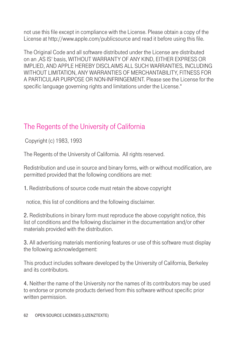not use this file except in compliance with the License. Please obtain a copy of the License at http://www.apple.com/publicsource and read it before using this file.

The Original Code and all software distributed under the License are distributed on an 'AS IS' basis, WITHOUT WARRANTY OF ANY KIND, EITHER EXPRESS OR IMPLIED, AND APPLE HEREBY DISCLAIMS ALL SUCH WARRANTIES, INCLUDING WITHOUT LIMITATION, ANY WARRANTIES OF MERCHANTABILITY, FITNESS FOR A PARTICULAR PURPOSE OR NON-INFRINGEMENT. Please see the License for the specific language governing rights and limitations under the License."

# The Regents of the University of California

Copyright (c) 1983, 1993

The Regents of the University of California. All rights reserved.

Redistribution and use in source and binary forms, with or without modification, are permitted provided that the following conditions are met:

1. Redistributions of source code must retain the above copyright

notice, this list of conditions and the following disclaimer.

2. Redistributions in binary form must reproduce the above copyright notice, this list of conditions and the following disclaimer in the documentation and/or other materials provided with the distribution.

3. All advertising materials mentioning features or use of this software must display the following acknowledgement:

This product includes software developed by the University of California, Berkeley and its contributors.

4. Neither the name of the University nor the names of its contributors may be used to endorse or promote products derived from this software without specific prior written permission.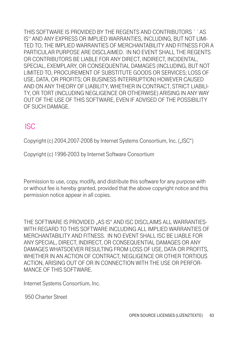THIS SOFTWARE IS PROVIDED BY THE REGENTS AND CONTRIBUTORS ` `AS IS'' AND ANY EXPRESS OR IMPLIED WARRANTIES, INCLUDING, BUT NOT LIMI-TED TO, THE IMPLIED WARRANTIES OF MERCHANTABILITY AND FITNESS FOR A PARTICULAR PURPOSE ARE DISCLAIMED. IN NO EVENT SHALL THE REGENTS OR CONTRIBUTORS BE LIABLE FOR ANY DIRECT, INDIRECT, INCIDENTAL, SPECIAL, EXEMPLARY, OR CONSEQUENTIAL DAMAGES (INCLUDING, BUT NOT LIMITED TO, PROCUREMENT OF SUBSTITUTE GOODS OR SERVICES; LOSS OF USE, DATA, OR PROFITS; OR BUSINESS INTERRUPTION) HOWEVER CAUSED AND ON ANY THEORY OF LIABILITY, WHETHER IN CONTRACT, STRICT LIABILI-TY, OR TORT (INCLUDING NEGLIGENCE OR OTHERWISE) ARISING IN ANY WAY OUT OF THE USE OF THIS SOFTWARE, EVEN IF ADVISED OF THE POSSIBILITY OF SUCH DAMAGE.

# ISC

Copyright (c) 2004, 2007-2008 by Internet Systems Consortium, Inc. ("ISC")

Copyright (c) 1996-2003 by Internet Software Consortium

Permission to use, copy, modify, and distribute this software for any purpose with or without fee is hereby granted, provided that the above copyright notice and this permission notice appear in all copies.

THE SOFTWARE IS PROVIDED ..AS IS" AND ISC DISCLAIMS ALL WARRANTIES-WITH REGARD TO THIS SOFTWARE INCLUDING ALL IMPLIED WARRANTIES OF MERCHANTABILITY AND FITNESS. IN NO EVENT SHALL ISC BE LIABLE FOR ANY SPECIAL, DIRECT, INDIRECT, OR CONSEQUENTIAL DAMAGES OR ANY DAMAGES WHATSOEVER RESULTING FROM LOSS OF USE, DATA OR PROFITS, WHETHER IN AN ACTION OF CONTRACT, NEGLIGENCE OR OTHER TORTIOUS ACTION, ARISING OUT OF OR IN CONNECTION WITH THE USE OR PERFOR-MANCE OF THIS SOFTWARE.

Internet Systems Consortium, Inc.

950 Charter Street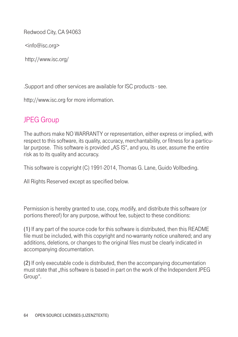Redwood City, CA 94063

<info@isc.org>

http://www.isc.org/

.Support and other services are available for ISC products - see.

http://www.isc.org for more information.

# JPEG Group

The authors make NO WARRANTY or representation, either express or implied, with respect to this software, its quality, accuracy, merchantability, or fitness for a particular purpose. This software is provided "AS IS", and you, its user, assume the entire risk as to its quality and accuracy.

This software is copyright (C) 1991-2014, Thomas G. Lane, Guido Vollbeding.

All Rights Reserved except as specified below.

Permission is hereby granted to use, copy, modify, and distribute this software (or portions thereof) for any purpose, without fee, subject to these conditions:

(1) If any part of the source code for this software is distributed, then this README file must be included, with this copyright and no-warranty notice unaltered; and any additions, deletions, or changes to the original files must be clearly indicated in accompanying documentation.

(2) If only executable code is distributed, then the accompanying documentation must state that "this software is based in part on the work of the Independent JPEG Group".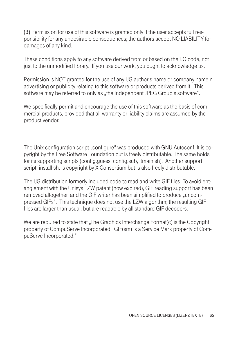(3) Permission for use of this software is granted only if the user accepts full responsibility for any undesirable consequences; the authors accept NO LIABILITY for damages of any kind.

These conditions apply to any software derived from or based on the IJG code, not just to the unmodified library. If you use our work, you ought to acknowledge us.

Permission is NOT granted for the use of any IJG author's name or company namein advertising or publicity relating to this software or products derived from it. This software may be referred to only as "the Independent JPEG Group's software".

We specifically permit and encourage the use of this software as the basis of commercial products, provided that all warranty or liability claims are assumed by the product vendor.

The Unix configuration script "configure" was produced with GNU Autoconf. It is copyright by the Free Software Foundation but is freely distributable. The same holds for its supporting scripts (config.guess, config.sub, ltmain.sh). Another support script, install-sh, is copyright by X Consortium but is also freely distributable.

The IJG distribution formerly included code to read and write GIF files. To avoid entanglement with the Unisys LZW patent (now expired), GIF reading support has been removed altogether, and the GIF writer has been simplified to produce "uncompressed GIFs". This technique does not use the LZW algorithm; the resulting GIF files are larger than usual, but are readable by all standard GIF decoders.

We are required to state that  $\sqrt{ }$ . The Graphics Interchange Format(c) is the Copyright property of CompuServe Incorporated. GIF(sm) is a Service Mark property of CompuServe Incorporated."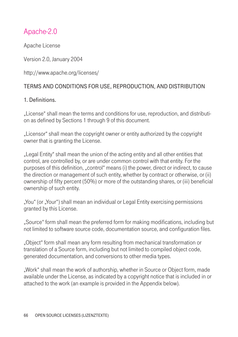# Apache-2.0

Apache License

Version 2.0, January 2004

http://www.apache.org/licenses/

### TERMS AND CONDITIONS FOR USE, REPRODUCTION, AND DISTRIBUTION

### 1. Definitions.

"License" shall mean the terms and conditions for use, reproduction, and distribution as defined by Sections 1 through 9 of this document.

"Licensor" shall mean the copyright owner or entity authorized by the copyright owner that is granting the License.

"Legal Entity" shall mean the union of the acting entity and all other entities that control, are controlled by, or are under common control with that entity. For the purposes of this definition, "control" means (i) the power, direct or indirect, to cause the direction or management of such entity, whether by contract or otherwise, or (ii) ownership of fifty percent (50%) or more of the outstanding shares, or (iii) beneficial ownership of such entity.

"You" (or "Your") shall mean an individual or Legal Entity exercising permissions granted by this License.

"Source" form shall mean the preferred form for making modifications, including but not limited to software source code, documentation source, and configuration files.

"Object" form shall mean any form resulting from mechanical transformation or translation of a Source form, including but not limited to compiled object code, generated documentation, and conversions to other media types.

"Work" shall mean the work of authorship, whether in Source or Object form, made available under the License, as indicated by a copyright notice that is included in or attached to the work (an example is provided in the Appendix below).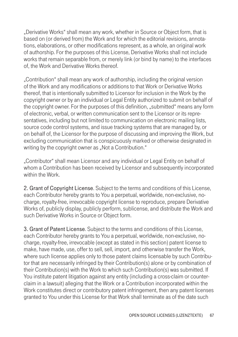"Derivative Works" shall mean any work, whether in Source or Object form, that is based on (or derived from) the Work and for which the editorial revisions, annotations, elaborations, or other modifications represent, as a whole, an original work of authorship. For the purposes of this License, Derivative Works shall not include works that remain separable from, or merely link (or bind by name) to the interfaces of, the Work and Derivative Works thereof.

"Contribution" shall mean any work of authorship, including the original version of the Work and any modifications or additions to that Work or Derivative Works thereof, that is intentionally submitted to Licensor for inclusion in the Work by the copyright owner or by an individual or Legal Entity authorized to submit on behalf of the copyright owner. For the purposes of this definition, "submitted" means any form of electronic, verbal, or written communication sent to the Licensor or its representatives, including but not limited to communication on electronic mailing lists, source code control systems, and issue tracking systems that are managed by, or on behalf of, the Licensor for the purpose of discussing and improving the Work, but excluding communication that is conspicuously marked or otherwise designated in writing by the copyright owner as "Not a Contribution."

"Contributor" shall mean Licensor and any individual or Legal Entity on behalf of whom a Contribution has been received by Licensor and subsequently incorporated within the Work

2. Grant of Copyright License. Subject to the terms and conditions of this License, each Contributor hereby grants to You a perpetual, worldwide, non-exclusive, nocharge, royalty-free, irrevocable copyright license to reproduce, prepare Derivative Works of, publicly display, publicly perform, sublicense, and distribute the Work and such Derivative Works in Source or Object form.

3. Grant of Patent License. Subject to the terms and conditions of this License, each Contributor hereby grants to You a perpetual, worldwide, non-exclusive, nocharge, royalty-free, irrevocable (except as stated in this section) patent license to make, have made, use, offer to sell, sell, import, and otherwise transfer the Work, where such license applies only to those patent claims licensable by such Contributor that are necessarily infringed by their Contribution(s) alone or by combination of their Contribution(s) with the Work to which such Contribution(s) was submitted. If You institute patent litigation against any entity (including a cross-claim or counterclaim in a lawsuit) alleging that the Work or a Contribution incorporated within the Work constitutes direct or contributory patent infringement, then any patent licenses granted to You under this License for that Work shall terminate as of the date such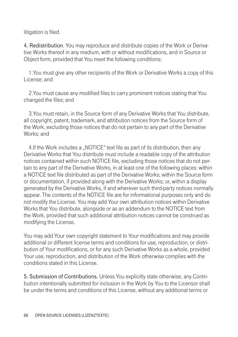#### litigation is filed.

4. Redistribution. You may reproduce and distribute copies of the Work or Derivative Works thereof in any medium, with or without modifications, and in Source or Object form, provided that You meet the following conditions:

 1.You must give any other recipients of the Work or Derivative Works a copy of this License; and

 2.You must cause any modified files to carry prominent notices stating that You changed the files; and

 3.You must retain, in the Source form of any Derivative Works that You distribute, all copyright, patent, trademark, and attribution notices from the Source form of the Work, excluding those notices that do not pertain to any part of the Derivative Works; and

4.If the Work includes a "NOTICE" text file as part of its distribution, then any Derivative Works that You distribute must include a readable copy of the attribution notices contained within such NOTICE file, excluding those notices that do not pertain to any part of the Derivative Works, in at least one of the following places: within a NOTICE text file distributed as part of the Derivative Works; within the Source form or documentation, if provided along with the Derivative Works; or, within a display generated by the Derivative Works, if and wherever such third-party notices normally appear. The contents of the NOTICE file are for informational purposes only and do not modify the License. You may add Your own attribution notices within Derivative Works that You distribute, alongside or as an addendum to the NOTICE text from the Work, provided that such additional attribution notices cannot be construed as modifying the License.

You may add Your own copyright statement to Your modifications and may provide additional or different license terms and conditions for use, reproduction, or distribution of Your modifications, or for any such Derivative Works as a whole, provided Your use, reproduction, and distribution of the Work otherwise complies with the conditions stated in this License.

5. Submission of Contributions. Unless You explicitly state otherwise, any Contribution intentionally submitted for inclusion in the Work by You to the Licensor shall be under the terms and conditions of this License, without any additional terms or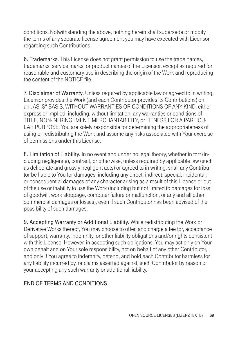conditions. Notwithstanding the above, nothing herein shall supersede or modify the terms of any separate license agreement you may have executed with Licensor regarding such Contributions.

6. Trademarks. This License does not grant permission to use the trade names, trademarks, service marks, or product names of the Licensor, except as required for reasonable and customary use in describing the origin of the Work and reproducing the content of the NOTICE file.

7. Disclaimer of Warranty. Unless required by applicable law or agreed to in writing, Licensor provides the Work (and each Contributor provides its Contributions) on an "AS IS" BASIS, WITHOUT WARRANTIES OR CONDITIONS OF ANY KIND, either express or implied, including, without limitation, any warranties or conditions of TITLE, NON-INFRINGEMENT, MERCHANTABILITY, or FITNESS FOR A PARTICU-LAR PURPOSE. You are solely responsible for determining the appropriateness of using or redistributing the Work and assume any risks associated with Your exercise of permissions under this License.

8. Limitation of Liability. In no event and under no legal theory, whether in tort (including negligence), contract, or otherwise, unless required by applicable law (such as deliberate and grossly negligent acts) or agreed to in writing, shall any Contributor be liable to You for damages, including any direct, indirect, special, incidental, or consequential damages of any character arising as a result of this License or out of the use or inability to use the Work (including but not limited to damages for loss of goodwill, work stoppage, computer failure or malfunction, or any and all other commercial damages or losses), even if such Contributor has been advised of the possibility of such damages.

9. Accepting Warranty or Additional Liability. While redistributing the Work or Derivative Works thereof, You may choose to offer, and charge a fee for, acceptance of support, warranty, indemnity, or other liability obligations and/or rights consistent with this License. However, in accepting such obligations, You may act only on Your own behalf and on Your sole responsibility, not on behalf of any other Contributor, and only if You agree to indemnify, defend, and hold each Contributor harmless for any liability incurred by, or claims asserted against, such Contributor by reason of your accepting any such warranty or additional liability.

### END OF TERMS AND CONDITIONS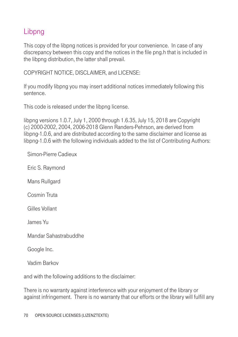## Libpng

This copy of the libpng notices is provided for your convenience. In case of any discrepancy between this copy and the notices in the file png.h that is included in the libpng distribution, the latter shall prevail.

COPYRIGHT NOTICE, DISCLAIMER, and LICENSE:

If you modify libpng you may insert additional notices immediately following this sentence.

This code is released under the libpng license.

libpng versions 1.0.7, July 1, 2000 through 1.6.35, July 15, 2018 are Copyright (c) 2000-2002, 2004, 2006-2018 Glenn Randers-Pehrson, are derived from libpng-1.0.6, and are distributed according to the same disclaimer and license as libpng-1.0.6 with the following individuals added to the list of Contributing Authors:

Simon-Pierre Cadieux

Eric S. Raymond

Mans Rullgard

Cosmin Truta

Gilles Vollant

James Yu

Mandar Sahastrabuddhe

Google Inc.

Vadim Barkov

and with the following additions to the disclaimer:

There is no warranty against interference with your enjoyment of the library or against infringement. There is no warranty that our efforts or the library will fulfill any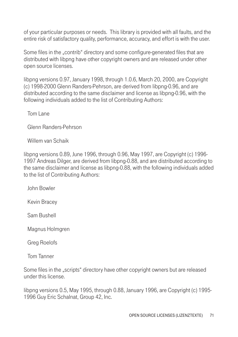of your particular purposes or needs. This library is provided with all faults, and the entire risk of satisfactory quality, performance, accuracy, and effort is with the user.

Some files in the "contrib" directory and some configure-generated files that are distributed with libpng have other copyright owners and are released under other open source licenses.

libpng versions 0.97, January 1998, through 1.0.6, March 20, 2000, are Copyright (c) 1998-2000 Glenn Randers-Pehrson, are derived from libpng-0.96, and are distributed according to the same disclaimer and license as libpng-0.96, with the following individuals added to the list of Contributing Authors:

Tom Lane

Glenn Randers-Pehrson

Willem van Schaik

libpng versions 0.89, June 1996, through 0.96, May 1997, are Copyright (c) 1996- 1997 Andreas Dilger, are derived from libpng-0.88, and are distributed according to the same disclaimer and license as libpng-0.88, with the following individuals added to the list of Contributing Authors:

John Bowler

Kevin Bracey

Sam Bushell

Magnus Holmgren

Greg Roelofs

Tom Tanner

Some files in the "scripts" directory have other copyright owners but are released under this license.

libpng versions 0.5, May 1995, through 0.88, January 1996, are Copyright (c) 1995- 1996 Guy Eric Schalnat, Group 42, Inc.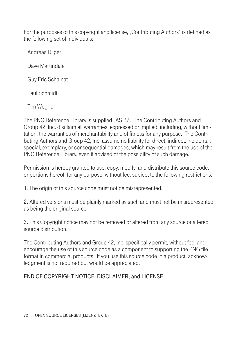For the purposes of this copyright and license, "Contributing Authors" is defined as the following set of individuals:

Andreas Dilger

Dave Martindale

Guy Eric Schalnat

Paul Schmidt

Tim Wegner

The PNG Reference Library is supplied "AS IS". The Contributing Authors and Group 42, Inc. disclaim all warranties, expressed or implied, including, without limitation, the warranties of merchantability and of fitness for any purpose. The Contributing Authors and Group 42, Inc. assume no liability for direct, indirect, incidental, special, exemplary, or consequential damages, which may result from the use of the PNG Reference Library, even if advised of the possibility of such damage.

Permission is hereby granted to use, copy, modify, and distribute this source code, or portions hereof, for any purpose, without fee, subject to the following restrictions:

1. The origin of this source code must not be misrepresented.

2. Altered versions must be plainly marked as such and must not be misrepresented as being the original source.

3. This Copyright notice may not be removed or altered from any source or altered source distribution.

The Contributing Authors and Group 42, Inc. specifically permit, without fee, and encourage the use of this source code as a component to supporting the PNG file format in commercial products. If you use this source code in a product, acknowledgment is not required but would be appreciated.

END OF COPYRIGHT NOTICE, DISCLAIMER, and LICENSE.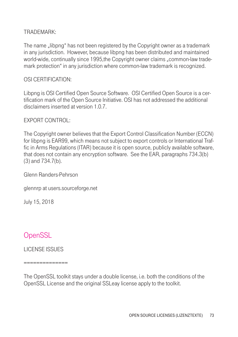### TRADEMARK:

The name "libpng" has not been registered by the Copyright owner as a trademark in any jurisdiction. However, because libpng has been distributed and maintained world-wide, continually since 1995, the Copyright owner claims ...common-law trademark protection" in any jurisdiction where common-law trademark is recognized.

### OSI CERTIFICATION:

Libpng is OSI Certified Open Source Software. OSI Certified Open Source is a certification mark of the Open Source Initiative. OSI has not addressed the additional disclaimers inserted at version 1.0.7.

#### EXPORT CONTROL:

The Copyright owner believes that the Export Control Classification Number (ECCN) for libpng is EAR99, which means not subject to export controls or International Traffic in Arms Regulations (ITAR) because it is open source, publicly available software, that does not contain any encryption software. See the EAR, paragraphs 734.3(b) (3) and 734.7(b).

Glenn Randers-Pehrson

glennrp at users.sourceforge.net

July 15, 2018

### **OpenSSL**

LICENSE ISSUES

==============

The OpenSSL toolkit stays under a double license, i.e. both the conditions of the OpenSSL License and the original SSLeay license apply to the toolkit.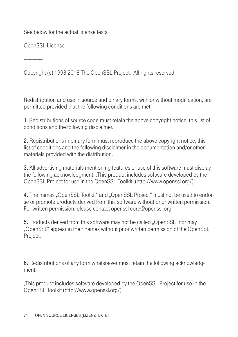See below for the actual license texts.

OpenSSL License

---------------

Copyright (c) 1998-2018 The OpenSSL Project. All rights reserved.

Redistribution and use in source and binary forms, with or without modification, are permitted provided that the following conditions are met:

1. Redistributions of source code must retain the above copyright notice, this list of conditions and the following disclaimer.

2. Redistributions in binary form must reproduce the above copyright notice, this list of conditions and the following disclaimer in the documentation and/or other materials provided with the distribution.

3. All advertising materials mentioning features or use of this software must display the following acknowledgment: "This product includes software developed by the OpenSSL Project for use in the OpenSSL Toolkit. (http://www.openssl.org/)"

4. The names "OpenSSL Toolkit" and "OpenSSL Project" must not be used to endorse or promote products derived from this software without prior written permission. For written permission, please contact openssl-core@openssl.org.

5. Products derived from this software may not be called "OpenSSL" nor may "OpenSSL" appear in their names without prior written permission of the OpenSSL Project.

6. Redistributions of any form whatsoever must retain the following acknowledgment:

"This product includes software developed by the OpenSSL Project for use in the OpenSSL Toolkit (http://www.openssl.org/)"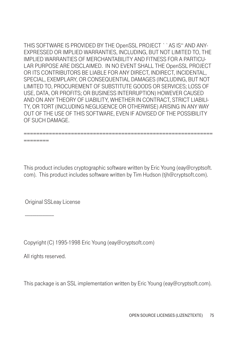THIS SOFTWARE IS PROVIDED BY THE OpenSSL PROJECT ` ` AS IS" AND ANY-EXPRESSED OR IMPLIED WARRANTIES, INCLUDING, BUT NOT LIMITED TO, THE IMPLIED WARRANTIES OF MERCHANTABILITY AND FITNESS FOR A PARTICU-LAR PURPOSE ARE DISCLAIMED. IN NO EVENT SHALL THE OpenSSL PROJECT OR ITS CONTRIBUTORS BE LIABLE FOR ANY DIRECT, INDIRECT, INCIDENTAL, SPECIAL, EXEMPLARY, OR CONSEQUENTIAL DAMAGES (INCLUDING, BUT NOT LIMITED TO, PROCUREMENT OF SUBSTITUTE GOODS OR SERVICES; LOSS OF USE, DATA, OR PROFITS; OR BUSINESS INTERRUPTION) HOWEVER CAUSED AND ON ANY THEORY OF LIABILITY, WHETHER IN CONTRACT, STRICT LIABILI-TY, OR TORT (INCLUDING NEGLIGENCE OR OTHERWISE) ARISING IN ANY WAY OUT OF THE USE OF THIS SOFTWARE, EVEN IF ADVISED OF THE POSSIBILITY OF SUCH DAMAGE.

This product includes cryptographic software written by Eric Young (eay@cryptsoft. com). This product includes software written by Tim Hudson (tjh@cryptsoft.com).

============================================================

Original SSLeay License

========

Copyright (C) 1995-1998 Eric Young (eay@cryptsoft.com)

All rights reserved.

-----------------------

This package is an SSL implementation written by Eric Young (eay@cryptsoft.com).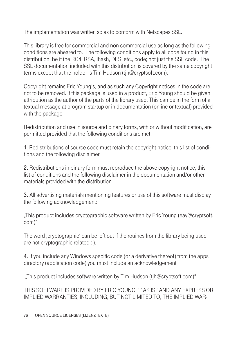The implementation was written so as to conform with Netscapes SSL.

This library is free for commercial and non-commercial use as long as the following conditions are aheared to. The following conditions apply to all code found in this distribution, be it the RC4, RSA, lhash, DES, etc., code; not just the SSL code. The SSL documentation included with this distribution is covered by the same copyright terms except that the holder is Tim Hudson (tjh@cryptsoft.com).

Copyright remains Eric Young's, and as such any Copyright notices in the code are not to be removed. If this package is used in a product, Eric Young should be given attribution as the author of the parts of the library used. This can be in the form of a textual message at program startup or in documentation (online or textual) provided with the package.

Redistribution and use in source and binary forms, with or without modification, are permitted provided that the following conditions are met:

1. Redistributions of source code must retain the copyright notice, this list of conditions and the following disclaimer.

2. Redistributions in binary form must reproduce the above copyright notice, this list of conditions and the following disclaimer in the documentation and/or other materials provided with the distribution.

3. All advertising materials mentioning features or use of this software must display the following acknowledgement:

"This product includes cryptographic software written by Eric Young (eay@cryptsoft. com)"

The word, cryptographic' can be left out if the rouines from the library being used are not cryptographic related :-).

4. If you include any Windows specific code (or a derivative thereof) from the apps directory (application code) you must include an acknowledgement:

"This product includes software written by Tim Hudson (tjh@cryptsoft.com)"

THIS SOFTWARE IS PROVIDED BY FRIC YOUNG ``AS IS" AND ANY EXPRESS OR IMPLIED WARRANTIES, INCLUDING, BUT NOT LIMITED TO, THE IMPLIED WAR-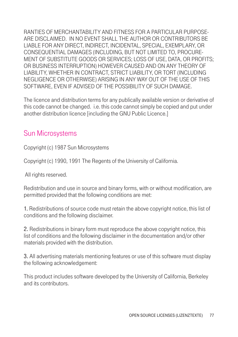RANTIES OF MERCHANTABILITY AND FITNESS FOR A PARTICULAR PURPOSE-ARE DISCLAIMED. IN NO EVENT SHALL THE AUTHOR OR CONTRIBUTORS BE LIABLE FOR ANY DIRECT, INDIRECT, INCIDENTAL, SPECIAL, EXEMPLARY, OR CONSEQUENTIAL DAMAGES (INCLUDING, BUT NOT LIMITED TO, PROCURE-MENT OF SUBSTITUTE GOODS OR SERVICES; LOSS OF USE, DATA, OR PROFITS; OR BUSINESS INTERRUPTION) HOWEVER CAUSED AND ON ANY THEORY OF LIABILITY, WHETHER IN CONTRACT, STRICT LIABILITY, OR TORT (INCLUDING NEGLIGENCE OR OTHERWISE) ARISING IN ANY WAY OUT OF THE USE OF THIS SOFTWARE, EVEN IF ADVISED OF THE POSSIBILITY OF SUCH DAMAGE.

The licence and distribution terms for any publically available version or derivative of this code cannot be changed. i.e. this code cannot simply be copied and put under another distribution licence [including the GNU Public Licence.]

# Sun Microsystems

Copyright (c) 1987 Sun Microsystems

Copyright (c) 1990, 1991 The Regents of the University of California.

All rights reserved.

Redistribution and use in source and binary forms, with or without modification, are permitted provided that the following conditions are met:

1. Redistributions of source code must retain the above copyright notice, this list of conditions and the following disclaimer.

2. Redistributions in binary form must reproduce the above copyright notice, this list of conditions and the following disclaimer in the documentation and/or other materials provided with the distribution.

3. All advertising materials mentioning features or use of this software must display the following acknowledgement:

This product includes software developed by the University of California, Berkeley and its contributors.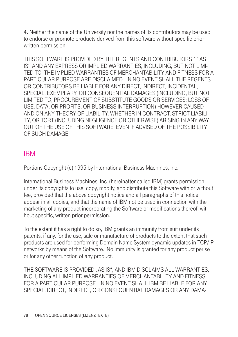4. Neither the name of the University nor the names of its contributors may be used to endorse or promote products derived from this software without specific prior written permission.

THIS SOFTWARE IS PROVIDED BY THE REGENTS AND CONTRIBUTORS ``AS IS'' AND ANY EXPRESS OR IMPLIED WARRANTIES, INCLUDING, BUT NOT LIMI-TED TO, THE IMPLIED WARRANTIES OF MERCHANTABILITY AND FITNESS FOR A PARTICULAR PURPOSE ARE DISCLAIMED. IN NO EVENT SHALL THE REGENTS OR CONTRIBUTORS BE LIABLE FOR ANY DIRECT, INDIRECT, INCIDENTAL, SPECIAL, EXEMPLARY, OR CONSEQUENTIAL DAMAGES (INCLUDING, BUT NOT LIMITED TO, PROCUREMENT OF SUBSTITUTE GOODS OR SERVICES; LOSS OF USE, DATA, OR PROFITS; OR BUSINESS INTERRUPTION) HOWEVER CAUSED AND ON ANY THEORY OF LIABILITY, WHETHER IN CONTRACT, STRICT LIABILI-TY, OR TORT (INCLUDING NEGLIGENCE OR OTHERWISE) ARISING IN ANY WAY OUT OF THE USE OF THIS SOFTWARE, EVEN IF ADVISED OF THE POSSIBILITY OF SUCH DAMAGE.

# IBM

Portions Copyright (c) 1995 by International Business Machines, Inc.

International Business Machines, Inc. (hereinafter called IBM) grants permission under its copyrights to use, copy, modify, and distribute this Software with or without fee, provided that the above copyright notice and all paragraphs of this notice appear in all copies, and that the name of IBM not be used in connection with the marketing of any product incorporating the Software or modifications thereof, without specific, written prior permission.

To the extent it has a right to do so, IBM grants an immunity from suit under its patents, if any, for the use, sale or manufacture of products to the extent that such products are used for performing Domain Name System dynamic updates in TCP/IP networks by means of the Software. No immunity is granted for any product per se or for any other function of any product.

THE SOFTWARE IS PROVIDED "AS IS", AND IBM DISCLAIMS ALL WARRANTIES, INCLUDING ALL IMPLIED WARRANTIES OF MERCHANTABILITY AND FITNESS FOR A PARTICULAR PURPOSE. IN NO EVENT SHALL IBM BE LIABLE FOR ANY SPECIAL, DIRECT, INDIRECT, OR CONSEQUENTIAL DAMAGES OR ANY DAMA-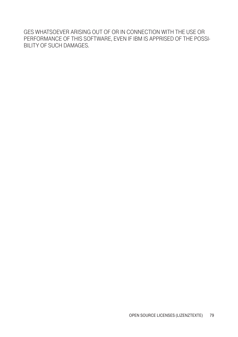GES WHATSOEVER ARISING OUT OF OR IN CONNECTION WITH THE USE OR PERFORMANCE OF THIS SOFTWARE, EVEN IF IBM IS APPRISED OF THE POSSI-BILITY OF SUCH DAMAGES.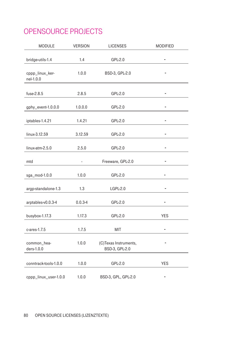# OPENSOURCE PROJECTS

| <b>MODULE</b>                | <b>VERSION</b> | <b>LICENSES</b>                         | <b>MODIFIED</b> |
|------------------------------|----------------|-----------------------------------------|-----------------|
| bridge-utils-1.4             | 1.4            | GPL-2.0                                 |                 |
| cppp_linux_ker-<br>nel-1.0.0 | 1.0.0          | BSD-3, GPL-2.0                          |                 |
| fuse-2.8.5                   | 2.8.5          | GPL-2.0                                 | $\overline{a}$  |
| gphy_event-1.0.0.0           | 1.0.0.0        | GPL-2.0                                 |                 |
| iptables-1.4.21              | 1.4.21         | GPL-2.0                                 | -               |
| linux-3.12.59                | 3.12.59        | GPL-2.0                                 |                 |
| linux-atm-2.5.0              | 2.5.0          | GPL-2.0                                 |                 |
| mtd                          |                | Freeware, GPL-2.0                       |                 |
| sga_mod-1.0.0                | 1.0.0          | GPL-2.0                                 |                 |
| argp-standalone-1.3          | 1.3            | LGPL-2.0                                |                 |
| arptables-v0.0.3-4           | $0.0.3 - 4$    | GPL-2.0                                 |                 |
| busybox-1.17.3               | 1.17.3         | GPL-2.0                                 | <b>YES</b>      |
| $c$ -ares-1.7.5              | 1.7.5          | <b>MIT</b>                              |                 |
| common_hea-<br>ders-1.0.0    | 1.0.0          | (C)Texas Instruments,<br>BSD-3, GPL-2.0 |                 |
| conntrack-tools-1.0.0        | 1.0.0          | GPL-2.0                                 | <b>YES</b>      |
| cppp_linux_user-1.0.0        | 1.0.0          | BSD-3, GPL, GPL-2.0                     | -               |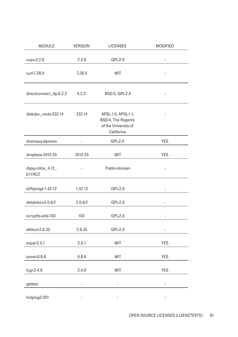| MODULE                           | <b>VERSION</b> | <b>LICENSES</b>                                                                 | <b>MODIFIED</b> |
|----------------------------------|----------------|---------------------------------------------------------------------------------|-----------------|
| cups-2.2.6                       | 2.2.6          | GPL-2.0                                                                         |                 |
| curl-7.28.0                      | 7.28.0         | <b>MIT</b>                                                                      |                 |
| directconnect_dp-0.2.2           | 0.2.2          | BSD-3, GPL-2.0                                                                  |                 |
| diskdev_cmds-332.14              | 332.14         | APSL-1.0, APSL-1.1,<br>BSD-4, The Regents<br>of the University of<br>California |                 |
| dnsmasq-daemon                   | ä,             | GPL-2.0                                                                         | <b>YES</b>      |
| dropbear-2012.55                 | 2012.55        | MIT                                                                             | <b>YES</b>      |
| dspg-cmbs_4.12_<br><b>b11RC2</b> | ä,             | Public-domain                                                                   |                 |
| e2fsprogs-1.42.12                | 1.42.12        | GPL-2.0                                                                         |                 |
| ebtables-v2.0.9-2                | $2.0.9 - 2$    | GPL-2.0                                                                         |                 |
| ecryptfs-utils-103               | 103            | GPL-2.0                                                                         |                 |
| ethtool-2.6.35                   | 2.6.35         | GPL-2.0                                                                         | ٠               |
| $expat-2.0.1$                    | 2.0.1          | <b>MIT</b>                                                                      | <b>YES</b>      |
| ezxml-0.8.6                      | 0.8.6          | MIT                                                                             | <b>YES</b>      |
| $f$ cgi-2.4.0                    | 2.4.0          | MIT                                                                             | YES             |
| gettext                          | -              | -                                                                               | ÷               |
| hotplug2-201                     | ä,             |                                                                                 | ۰               |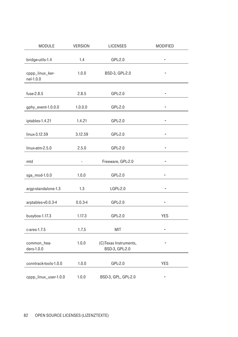| <b>MODULE</b>                | <b>VERSION</b> | <b>LICENSES</b>                         | <b>MODIFIED</b>          |
|------------------------------|----------------|-----------------------------------------|--------------------------|
| bridge-utils-1.4             | 1.4            | $GPL-2.0$                               |                          |
| cppp_linux_ker-<br>nel-1.0.0 | 1.0.0          | BSD-3, GPL-2.0                          |                          |
| fuse-2.8.5                   | 2.8.5          | GPL-2.0                                 |                          |
| gphy_event-1.0.0.0           | 1.0.0.0        | GPL-2.0                                 |                          |
| iptables-1.4.21              | 1.4.21         | GPL-2.0                                 | $\overline{\phantom{0}}$ |
| linux-3.12.59                | 3.12.59        | GPL-2.0                                 |                          |
| linux-atm-2.5.0              | 2.5.0          | GPL-2.0                                 |                          |
| mtd                          |                | Freeware, GPL-2.0                       |                          |
| sga_mod-1.0.0                | 1.0.0          | GPL-2.0                                 |                          |
| argp-standalone-1.3          | 1.3            | LGPL-2.0                                |                          |
| arptables-v0.0.3-4           | $0.0.3 - 4$    | GPL-2.0                                 |                          |
| busybox-1.17.3               | 1.17.3         | GPL-2.0                                 | <b>YES</b>               |
| c-ares-1.7.5                 | 1.7.5          | MIT                                     |                          |
| common_hea-<br>ders-1.0.0    | 1.0.0          | (C)Texas Instruments,<br>BSD-3, GPL-2.0 |                          |
| conntrack-tools-1.0.0        | 1.0.0          | GPL-2.0                                 | <b>YES</b>               |
| cppp_linux_user-1.0.0        | 1.0.0          | BSD-3, GPL, GPL-2.0                     | -                        |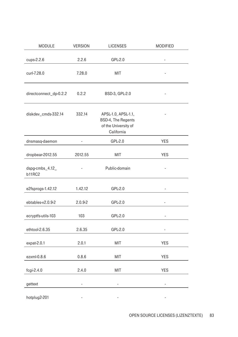| <b>MODULE</b>                    | <b>VERSION</b> | <b>LICENSES</b>                                                                 | <b>MODIFIED</b> |
|----------------------------------|----------------|---------------------------------------------------------------------------------|-----------------|
| cups-2.2.6                       | 2.2.6          | GPL-2.0                                                                         |                 |
| curl-7.28.0                      | 7.28.0         | MIT                                                                             |                 |
| directconnect_dp-0.2.2           | 0.2.2          | BSD-3, GPL-2.0                                                                  |                 |
| diskdev_cmds-332.14              | 332.14         | APSL-1.0, APSL-1.1,<br>BSD-4, The Regents<br>of the University of<br>California |                 |
| dnsmasq-daemon                   | ÷              | $GPL-2.0$                                                                       | YES             |
| dropbear-2012.55                 | 2012.55        | MIT                                                                             | <b>YES</b>      |
| dspg-cmbs_4.12_<br><b>b11RC2</b> | ä,             | Public-domain                                                                   |                 |
| e2fsprogs-1.42.12                | 1.42.12        | GPL-2.0                                                                         |                 |
| ebtables-v2.0.9-2                | $2.0.9 - 2$    | GPL-2.0                                                                         |                 |
| ecryptfs-utils-103               | 103            | GPL-2.0                                                                         |                 |
| ethtool-2.6.35                   | 2.6.35         | GPL-2.0                                                                         | $\frac{1}{2}$   |
| $expat-2.0.1$                    | 2.0.1          | MIT                                                                             | <b>YES</b>      |
| ezxml-0.8.6                      | 0.8.6          | MIT                                                                             | <b>YES</b>      |
| $f$ cgi-2.4.0                    | 2.4.0          | MIT                                                                             | YES             |
| gettext                          | ÷              | ÷                                                                               | ÷               |
| hotplug2-201                     | ä,             | -                                                                               | ÷               |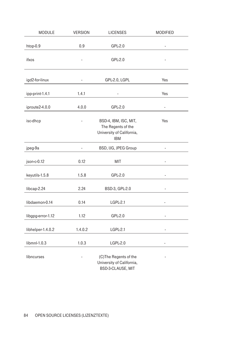| MODULE            | <b>VERSION</b> | <b>LICENSES</b>                                                                        | MODIFIED                     |
|-------------------|----------------|----------------------------------------------------------------------------------------|------------------------------|
| htop-0.9          | 0.9            | GPL-2.0                                                                                |                              |
| ifxos             |                | GPL-2.0                                                                                |                              |
| igd2-for-linux    |                | GPL-2.0, LGPL                                                                          | Yes                          |
| ipp-print-1.4.1   | 1.4.1          |                                                                                        | Yes                          |
| iproute2-4.0.0    | 4.0.0          | GPL-2.0                                                                                | ÷,                           |
| isc-dhcp          |                | BSD-4, IBM, ISC, MIT,<br>The Regents of the<br>University of California,<br><b>IBM</b> | Yes                          |
| jpeg-9a           | ÷              | BSD, IJG, JPEG Group                                                                   | $\qquad \qquad \blacksquare$ |
| json-c-0.12       | 0.12           | MIT                                                                                    |                              |
| keyutils-1.5.8    | 1.5.8          | GPL-2.0                                                                                | i,                           |
| libcap-2.24       | 2.24           | BSD-3, GPL-2.0                                                                         |                              |
| libdaemon-0.14    | 0.14           | LGPL-2.1                                                                               |                              |
| libgpg-error-1.12 | 1.12           | GPL-2.0                                                                                | $\qquad \qquad \blacksquare$ |
| libhelper-1.4.0.2 | 1.4.0.2        | LGPL-2.1                                                                               | ÷,                           |
| libmnl-1.0.3      | 1.0.3          | <b>LGPL-2.0</b>                                                                        | ÷,                           |
| libncurses        |                | (C)The Regents of the<br>University of California,<br>BSD-3-CLAUSE, MIT                |                              |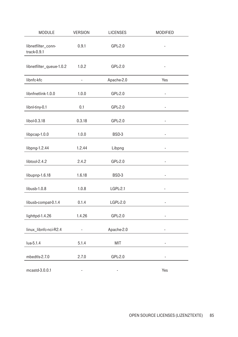| <b>MODULE</b>                       | <b>VERSION</b>           | <b>LICENSES</b>          | <b>MODIFIED</b> |
|-------------------------------------|--------------------------|--------------------------|-----------------|
| libnetfilter_conn-<br>$track-0.9.1$ | 0.9.1                    | GPL-2.0                  |                 |
| libnetfilter_queue-1.0.2            | 1.0.2                    | GPL-2.0                  |                 |
| libnfc-kfc                          | ä,                       | Apache-2.0               | Yes             |
| libnfnetlink-1.0.0                  | 1.0.0                    | GPL-2.0                  |                 |
| libnl-tiny-0.1                      | 0.1                      | GPL-2.0                  |                 |
| libol-0.3.18                        | 0.3.18                   | GPL-2.0                  | ÷               |
| libpcap-1.0.0                       | 1.0.0                    | BSD-3                    |                 |
| libpng-1.2.44                       | 1.2.44                   | Libpng                   |                 |
| libtool-2.4.2                       | 2.4.2                    | GPL-2.0                  |                 |
| libupnp-1.6.18                      | 1.6.18                   | BSD-3                    |                 |
| libusb-1.0.8                        | 1.0.8                    | LGPL-2.1                 |                 |
| libusb-compat-0.1.4                 | 0.1.4                    | <b>LGPL-2.0</b>          |                 |
| lighttpd-1.4.26                     | 1.4.26                   | GPL-2.0                  |                 |
| linux_libnfc-nci-R2.4               |                          | Apache-2.0               |                 |
| lua-5.1.4                           | 5.1.4                    | MIT                      | ä,              |
| mbedtls-2.7.0                       | 2.7.0                    | GPL-2.0                  |                 |
| mcastd-3.0.0.1                      | $\overline{\phantom{a}}$ | $\overline{\phantom{m}}$ | Yes             |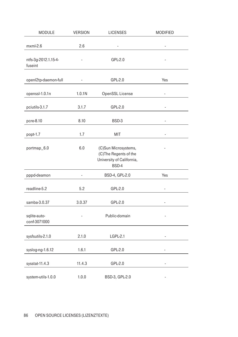| <b>MODULE</b>                   | <b>VERSION</b> | <b>LICENSES</b>                                                                     | <b>MODIFIED</b> |
|---------------------------------|----------------|-------------------------------------------------------------------------------------|-----------------|
| $m$ xml-2.6                     | 2.6            |                                                                                     |                 |
| ntfs-3g-2012.1.15-4-<br>fuseint |                | GPL-2.0                                                                             |                 |
| openl2tp-daemon-full            |                | GPL-2.0                                                                             | Yes             |
| openssl-1.0.1n                  | 1.0.1N         | OpenSSL License                                                                     | ÷               |
| pciutils-3.1.7                  | 3.1.7          | GPL-2.0                                                                             | ä,              |
| pcre-8.10                       | 8.10           | BSD-3                                                                               | ÷               |
| popt-1.7                        | 1.7            | <b>MIT</b>                                                                          | ÷,              |
| portmap_6.0                     | 6.0            | (C)Sun Microsystems,<br>(C)The Regents of the<br>University of California,<br>BSD-4 |                 |
| pppd-deamon                     | ä,             | BSD-4, GPL-2.0                                                                      | Yes             |
| readline-5.2                    | 5.2            | GPL-2.0                                                                             |                 |
| samba-3.0.37                    | 3.0.37         | GPL-2.0                                                                             |                 |
| sqlite-auto-<br>conf-3071000    |                | Public-domain                                                                       |                 |
| sysfsutils-2.1.0                | 2.1.0          | LGPL-2.1                                                                            | ä,              |
| syslog-ng-1.6.12                | 1.6.1          | GPL-2.0                                                                             | ä,              |
| sysstat-11.4.3                  | 11.4.3         | GPL-2.0                                                                             | ä,              |
| system-utils-1.0.0              | 1.0.0          | BSD-3, GPL-2.0                                                                      | ۰               |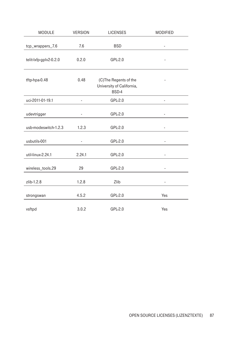| <b>MODULE</b>          | <b>VERSION</b> | <b>LICENSES</b>                                             | <b>MODIFIED</b> |
|------------------------|----------------|-------------------------------------------------------------|-----------------|
| tcp_wrappers_7.6       | 7.6            | <b>BSD</b>                                                  |                 |
| telit-lxfp-gplv2-0.2.0 | 0.2.0          | GPL-2.0                                                     |                 |
| tftp-hpa-0.48          | 0.48           | (C)The Regents of the<br>University of California,<br>BSD-4 |                 |
| uci-2011-01-19.1       |                | GPL-2.0                                                     |                 |
| udevtrigger            | $\frac{1}{2}$  | GPL-2.0                                                     |                 |
| usb-modeswitch-1.2.3   | 1.2.3          | GPL-2.0                                                     | ۰               |
| usbutils-001           |                | GPL-2.0                                                     |                 |
| util-linux-2.24.1      | 2.24.1         | GPL-2.0                                                     |                 |
| wireless_tools.29      | 29             | GPL-2.0                                                     |                 |
| zlib-1.2.8             | 1.2.8          | Zlib                                                        | ٠               |
| strongswan             | 4.5.2          | GPL-2.0                                                     | Yes             |
| vsftpd                 | 3.0.2          | GPL-2.0                                                     | Yes             |